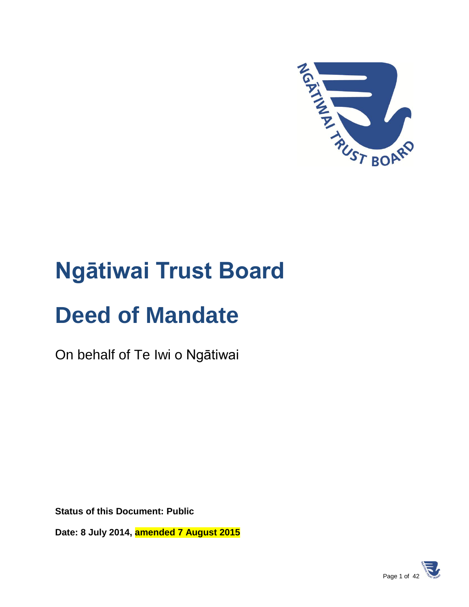

# **Ngātiwai Trust Board**

# **Deed of Mandate**

On behalf of Te Iwi o Ngātiwai

**Status of this Document: Public**

**Date: 8 July 2014, amended 7 August 2015**

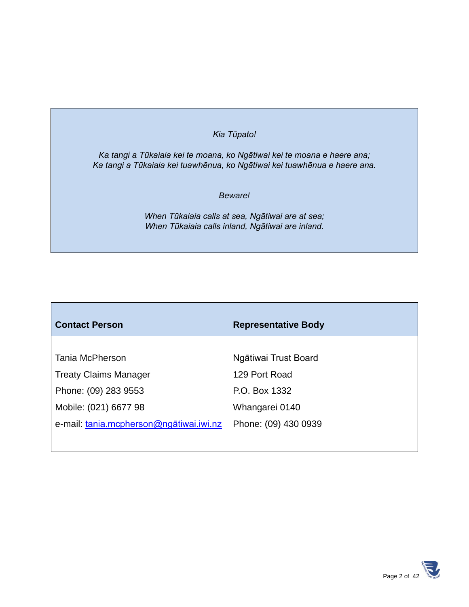#### *Kia Tūpato!*

*Ka tangi a Tūkaiaia kei te moana, ko Ngātiwai kei te moana e haere ana; Ka tangi a Tūkaiaia kei tuawhēnua, ko Ngātiwai kei tuawhēnua e haere ana.*

#### *Beware!*

*When Tūkaiaia calls at sea, Ngātiwai are at sea; When Tūkaiaia calls inland, Ngātiwai are inland.*

| <b>Contact Person</b>                   | <b>Representative Body</b> |
|-----------------------------------------|----------------------------|
|                                         |                            |
| Tania McPherson                         | Ngātiwai Trust Board       |
| <b>Treaty Claims Manager</b>            | 129 Port Road              |
| Phone: (09) 283 9553                    | P.O. Box 1332              |
| Mobile: (021) 6677 98                   | Whangarei 0140             |
| e-mail: tania.mcpherson@ngatiwai.iwi.nz | Phone: (09) 430 0939       |
|                                         |                            |

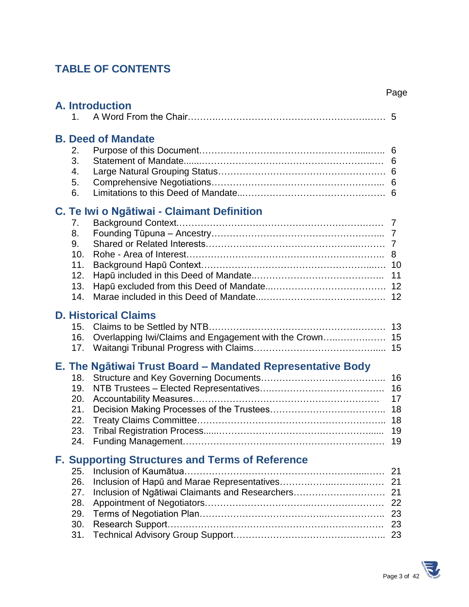# **TABLE OF CONTENTS**

|                                                   |                                                                                        | Page                             |
|---------------------------------------------------|----------------------------------------------------------------------------------------|----------------------------------|
| $\mathbf{1}$ .                                    | <b>A. Introduction</b>                                                                 |                                  |
| 2.<br>3.<br>4.<br>5.<br>6.                        | <b>B. Deed of Mandate</b>                                                              | 6<br>6<br>6                      |
| 7.<br>8.<br>9.<br>10.<br>11.<br>12.<br>13.<br>14. | C. Te Iwi o Ngātiwai - Claimant Definition                                             |                                  |
| 15.<br>16.<br>17.                                 | <b>D. Historical Claims</b><br>Overlapping Iwi/Claims and Engagement with the Crown 15 |                                  |
| 18.<br>19.<br>20.<br>21.<br>22.<br>23.<br>24.     | E. The Ngātiwai Trust Board - Mandated Representative Body                             | 16<br>16<br>17<br>18<br>19<br>19 |
| 25.<br>26.<br>27.<br>28.<br>29.<br>30.<br>31.     | <b>F. Supporting Structures and Terms of Reference</b>                                 | 21<br>21<br>22<br>23<br>23       |

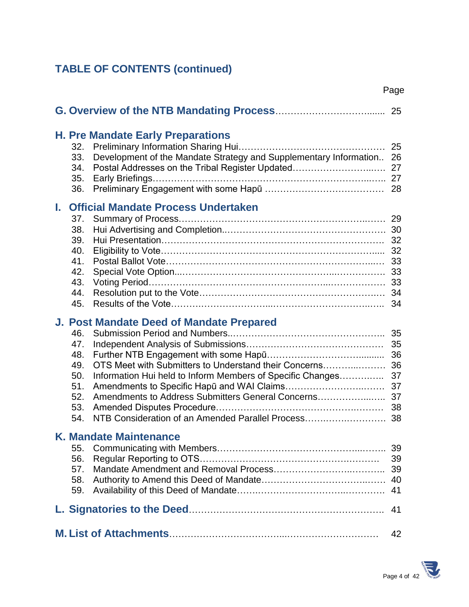# **TABLE OF CONTENTS (continued)**

| <b>H. Pre Mandate Early Preparations</b><br>32.<br>Development of the Mandate Strategy and Supplementary Information<br>33.<br>Postal Addresses on the Tribal Register Updated<br>34.<br>35.<br>36.                                                                                                                                     | 25<br>26<br>27<br>27<br>28                         |  |
|-----------------------------------------------------------------------------------------------------------------------------------------------------------------------------------------------------------------------------------------------------------------------------------------------------------------------------------------|----------------------------------------------------|--|
| <b>Official Mandate Process Undertaken</b><br>L.<br>37.<br>38.<br>39.<br>40.<br>41.<br>42.<br>43.<br>44.<br>45.                                                                                                                                                                                                                         | 29<br>30<br>32<br>32<br>33<br>33<br>33<br>34       |  |
| J. Post Mandate Deed of Mandate Prepared<br>46.<br>47.<br>48.<br>OTS Meet with Submitters to Understand their Concerns<br>49.<br>Information Hui held to Inform Members of Specific Changes<br>50.<br>51.<br>52.<br>Amendments to Address Submitters General Concerns<br>53.<br>NTB Consideration of an Amended Parallel Process<br>54. | 35<br>35<br>36<br>36<br>37<br>37<br>37<br>38<br>38 |  |
| <b>K. Mandate Maintenance</b><br>55.<br>56.<br>57.<br>58.<br>59.                                                                                                                                                                                                                                                                        | 39<br>39<br>39<br>40<br>41                         |  |
|                                                                                                                                                                                                                                                                                                                                         | 41                                                 |  |
|                                                                                                                                                                                                                                                                                                                                         | 42                                                 |  |



Page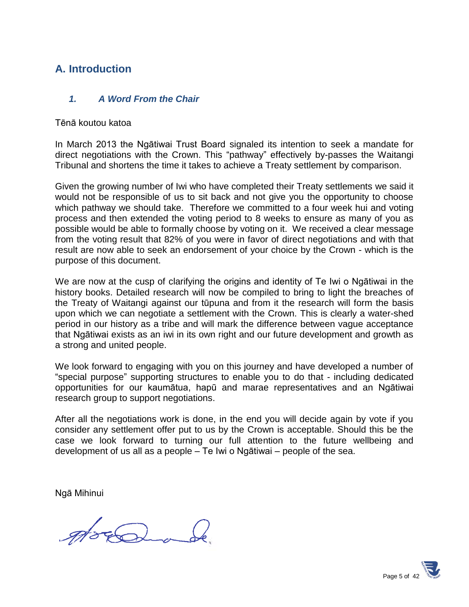# **A. Introduction**

#### *1. A Word From the Chair*

#### Tēnā koutou katoa

In March 2013 the Ngātiwai Trust Board signaled its intention to seek a mandate for direct negotiations with the Crown. This "pathway" effectively by-passes the Waitangi Tribunal and shortens the time it takes to achieve a Treaty settlement by comparison.

Given the growing number of Iwi who have completed their Treaty settlements we said it would not be responsible of us to sit back and not give you the opportunity to choose which pathway we should take. Therefore we committed to a four week hui and voting process and then extended the voting period to 8 weeks to ensure as many of you as possible would be able to formally choose by voting on it. We received a clear message from the voting result that 82% of you were in favor of direct negotiations and with that result are now able to seek an endorsement of your choice by the Crown - which is the purpose of this document.

We are now at the cusp of clarifying the origins and identity of Te Iwi o Ngātiwai in the history books. Detailed research will now be compiled to bring to light the breaches of the Treaty of Waitangi against our tūpuna and from it the research will form the basis upon which we can negotiate a settlement with the Crown. This is clearly a water-shed period in our history as a tribe and will mark the difference between vague acceptance that Ngātiwai exists as an iwi in its own right and our future development and growth as a strong and united people.

We look forward to engaging with you on this journey and have developed a number of "special purpose" supporting structures to enable you to do that - including dedicated opportunities for our kaumātua, hapū and marae representatives and an Ngātiwai research group to support negotiations.

After all the negotiations work is done, in the end you will decide again by vote if you consider any settlement offer put to us by the Crown is acceptable. Should this be the case we look forward to turning our full attention to the future wellbeing and development of us all as a people – Te Iwi o Ngātiwai – people of the sea.

Ngā Mihinui

good

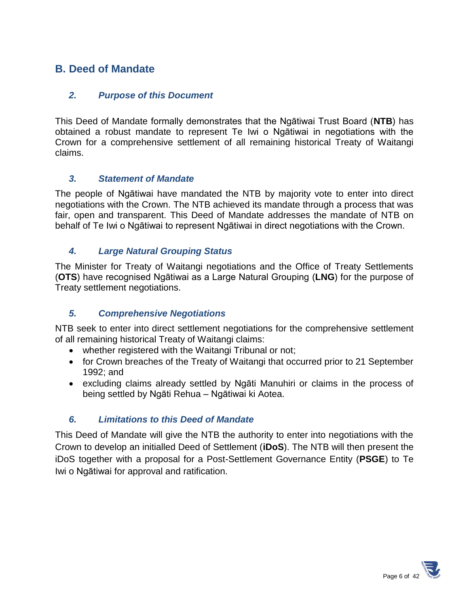# **B. Deed of Mandate**

#### *2. Purpose of this Document*

This Deed of Mandate formally demonstrates that the Ngātiwai Trust Board (**NTB**) has obtained a robust mandate to represent Te Iwi o Ngātiwai in negotiations with the Crown for a comprehensive settlement of all remaining historical Treaty of Waitangi claims.

#### *3. Statement of Mandate*

The people of Ngātiwai have mandated the NTB by majority vote to enter into direct negotiations with the Crown. The NTB achieved its mandate through a process that was fair, open and transparent. This Deed of Mandate addresses the mandate of NTB on behalf of Te Iwi o Ngātiwai to represent Ngātiwai in direct negotiations with the Crown.

#### *4. Large Natural Grouping Status*

The Minister for Treaty of Waitangi negotiations and the Office of Treaty Settlements (**OTS**) have recognised Ngātiwai as a Large Natural Grouping (**LNG**) for the purpose of Treaty settlement negotiations.

#### *5. Comprehensive Negotiations*

NTB seek to enter into direct settlement negotiations for the comprehensive settlement of all remaining historical Treaty of Waitangi claims:

- whether registered with the Waitangi Tribunal or not;
- for Crown breaches of the Treaty of Waitangi that occurred prior to 21 September 1992; and
- excluding claims already settled by Ngāti Manuhiri or claims in the process of being settled by Ngāti Rehua – Ngātiwai ki Aotea.

#### *6. Limitations to this Deed of Mandate*

This Deed of Mandate will give the NTB the authority to enter into negotiations with the Crown to develop an initialled Deed of Settlement (**iDoS**). The NTB will then present the iDoS together with a proposal for a Post-Settlement Governance Entity (**PSGE**) to Te Iwi o Ngātiwai for approval and ratification.

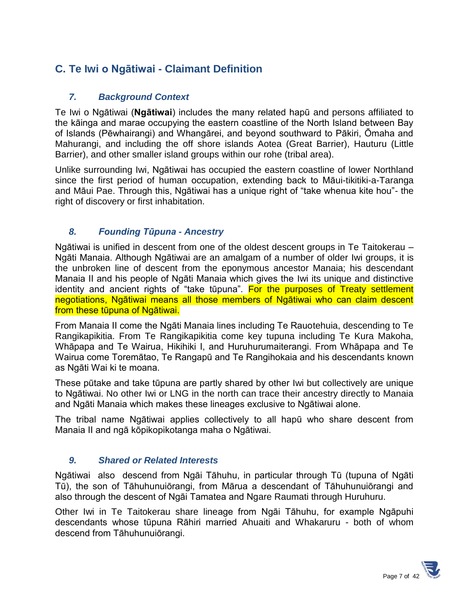# **C. Te Iwi o Ngātiwai - Claimant Definition**

## *7. Background Context*

Te Iwi o Ngātiwai (**Ngātiwai**) includes the many related hapū and persons affiliated to the kāinga and marae occupying the eastern coastline of the North Island between Bay of Islands (Pēwhairangi) and Whangārei, and beyond southward to Pākiri, Ōmaha and Mahurangi, and including the off shore islands Aotea (Great Barrier), Hauturu (Little Barrier), and other smaller island groups within our rohe (tribal area).

Unlike surrounding Iwi, Ngātiwai has occupied the eastern coastline of lower Northland since the first period of human occupation, extending back to Māui-tikitiki-a-Taranga and Māui Pae. Through this, Ngātiwai has a unique right of "take whenua kite hou"- the right of discovery or first inhabitation.

#### *8. Founding Tūpuna - Ancestry*

Ngātiwai is unified in descent from one of the oldest descent groups in Te Taitokerau – Ngāti Manaia. Although Ngātiwai are an amalgam of a number of older Iwi groups, it is the unbroken line of descent from the eponymous ancestor Manaia; his descendant Manaia II and his people of Ngāti Manaia which gives the Iwi its unique and distinctive identity and ancient rights of "take tūpuna". For the purposes of Treaty settlement negotiations, Ngātiwai means all those members of Ngātiwai who can claim descent from these tūpuna of Ngātiwai.

From Manaia II come the Ngāti Manaia lines including Te Rauotehuia, descending to Te Rangikapikitia. From Te Rangikapikitia come key tupuna including Te Kura Makoha, Whāpapa and Te Wairua, Hikihiki I, and Huruhurumaiterangi. From Whāpapa and Te Wairua come Toremātao, Te Rangapū and Te Rangihokaia and his descendants known as Ngāti Wai ki te moana.

These pūtake and take tūpuna are partly shared by other Iwi but collectively are unique to Ngātiwai. No other Iwi or LNG in the north can trace their ancestry directly to Manaia and Ngāti Manaia which makes these lineages exclusive to Ngātiwai alone.

The tribal name Ngātiwai applies collectively to all hapū who share descent from Manaia II and ngā kōpikopikotanga maha o Ngātiwai.

#### *9. Shared or Related Interests*

Ngātiwai also descend from Ngāi Tāhuhu, in particular through Tū (tupuna of Ngāti Tū), the son of Tāhuhunuiōrangi, from Mārua a descendant of Tāhuhunuiōrangi and also through the descent of Ngāi Tamatea and Ngare Raumati through Huruhuru.

Other Iwi in Te Taitokerau share lineage from Ngāi Tāhuhu, for example Ngāpuhi descendants whose tūpuna Rāhiri married Ahuaiti and Whakaruru - both of whom descend from Tāhuhunuiōrangi.

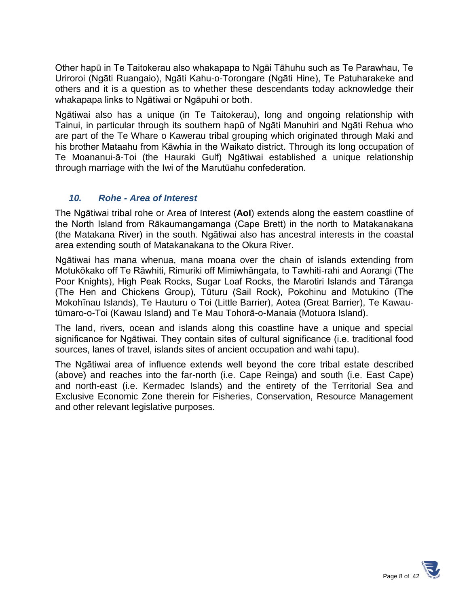Other hapū in Te Taitokerau also whakapapa to Ngāi Tāhuhu such as Te Parawhau, Te Uriroroi (Ngāti Ruangaio), Ngāti Kahu-o-Torongare (Ngāti Hine), Te Patuharakeke and others and it is a question as to whether these descendants today acknowledge their whakapapa links to Ngātiwai or Ngāpuhi or both.

Ngātiwai also has a unique (in Te Taitokerau), long and ongoing relationship with Tainui, in particular through its southern hapū of Ngāti Manuhiri and Ngāti Rehua who are part of the Te Whare o Kawerau tribal grouping which originated through Maki and his brother Mataahu from Kāwhia in the Waikato district. Through its long occupation of Te Moananui-ā-Toi (the Hauraki Gulf) Ngātiwai established a unique relationship through marriage with the Iwi of the Marutūahu confederation.

## *10. Rohe - Area of Interest*

The Ngātiwai tribal rohe or Area of Interest (**AoI**) extends along the eastern coastline of the North Island from Rākaumangamanga (Cape Brett) in the north to Matakanakana (the Matakana River) in the south. Ngātiwai also has ancestral interests in the coastal area extending south of Matakanakana to the Okura River.

Ngātiwai has mana whenua, mana moana over the chain of islands extending from Motukōkako off Te Rāwhiti, Rimuriki off Mimiwhāngata, to Tawhiti-rahi and Aorangi (The Poor Knights), High Peak Rocks, Sugar Loaf Rocks, the Marotiri Islands and Tāranga (The Hen and Chickens Group), Tūturu (Sail Rock), Pokohinu and Motukino (The Mokohīnau Islands), Te Hauturu o Toi (Little Barrier), Aotea (Great Barrier), Te Kawautūmaro-o-Toi (Kawau Island) and Te Mau Tohorā-o-Manaia (Motuora Island).

The land, rivers, ocean and islands along this coastline have a unique and special significance for Ngātiwai. They contain sites of cultural significance (i.e. traditional food sources, lanes of travel, islands sites of ancient occupation and wahi tapu).

The Ngātiwai area of influence extends well beyond the core tribal estate described (above) and reaches into the far-north (i.e. Cape Reinga) and south (i.e. East Cape) and north-east (i.e. Kermadec Islands) and the entirety of the Territorial Sea and Exclusive Economic Zone therein for Fisheries, Conservation, Resource Management and other relevant legislative purposes.

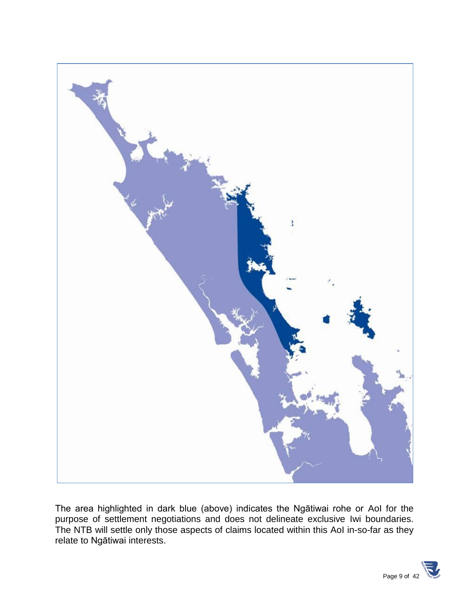

The area highlighted in dark blue (above) indicates the Ngātiwai rohe or AoI for the purpose of settlement negotiations and does not delineate exclusive Iwi boundaries. The NTB will settle only those aspects of claims located within this AoI in-so-far as they relate to Ngātiwai interests.

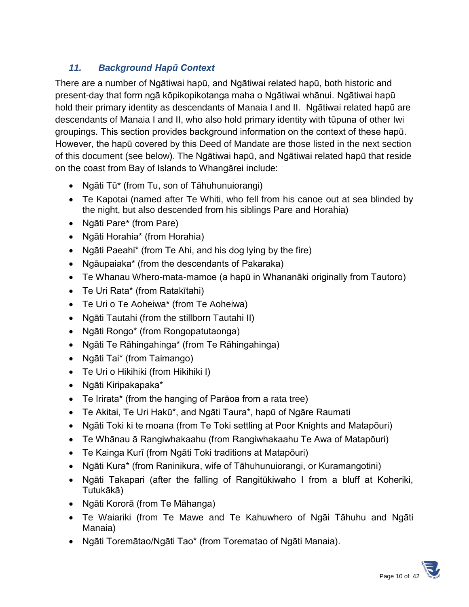# *11. Background Hapū Context*

There are a number of Ngātiwai hapū, and Ngātiwai related hapū, both historic and present-day that form ngā kōpikopikotanga maha o Ngātiwai whānui. Ngātiwai hapū hold their primary identity as descendants of Manaia I and II. Ngātiwai related hapū are descendants of Manaia I and II, who also hold primary identity with tūpuna of other Iwi groupings. This section provides background information on the context of these hapū. However, the hapū covered by this Deed of Mandate are those listed in the next section of this document (see below). The Ngātiwai hapū, and Ngātiwai related hapū that reside on the coast from Bay of Islands to Whangārei include:

- Ngāti Tū\* (from Tu, son of Tāhuhunuiorangi)
- Te Kapotai (named after Te Whiti, who fell from his canoe out at sea blinded by the night, but also descended from his siblings Pare and Horahia)
- Ngāti Pare\* (from Pare)
- Ngāti Horahia\* (from Horahia)
- Ngāti Paeahi\* (from Te Ahi, and his dog lying by the fire)
- Ngāupaiaka\* (from the descendants of Pakaraka)
- Te Whanau Whero-mata-mamoe (a hapū in Whananāki originally from Tautoro)
- Te Uri Rata\* (from Ratakītahi)
- Te Uri o Te Aoheiwa\* (from Te Aoheiwa)
- Ngāti Tautahi (from the stillborn Tautahi II)
- Ngāti Rongo\* (from Rongopatutaonga)
- Ngāti Te Rāhingahinga\* (from Te Rāhingahinga)
- Ngāti Tai\* (from Taimango)
- Te Uri o Hikihiki (from Hikihiki I)
- Ngāti Kiripakapaka\*
- Te Irirata\* (from the hanging of Parāoa from a rata tree)
- Te Akitai, Te Uri Hakū\*, and Ngāti Taura\*, hapū of Ngāre Raumati
- Ngāti Toki ki te moana (from Te Toki settling at Poor Knights and Matapōuri)
- Te Whānau ā Rangiwhakaahu (from Rangiwhakaahu Te Awa of Matapōuri)
- Te Kainga Kurī (from Ngāti Toki traditions at Matapōuri)
- Ngāti Kura\* (from Raninikura, wife of Tāhuhunuiorangi, or Kuramangotini)
- Ngāti Takapari (after the falling of Rangitūkiwaho I from a bluff at Koheriki, Tutukākā)
- Ngāti Kororā (from Te Māhanga)
- Te Waiariki (from Te Mawe and Te Kahuwhero of Ngāi Tāhuhu and Ngāti Manaia)
- Ngāti Toremātao/Ngāti Tao\* (from Torematao of Ngāti Manaia).

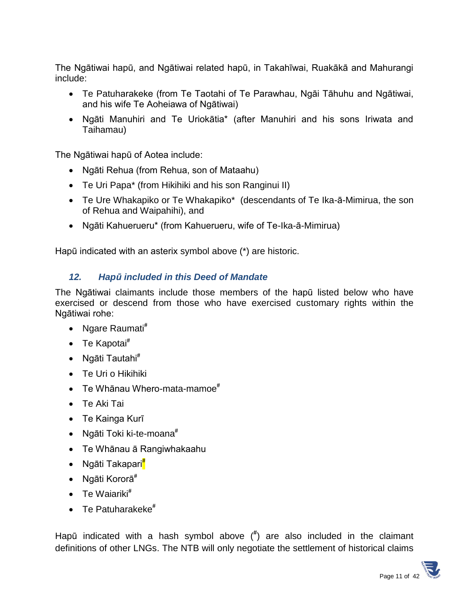The Ngātiwai hapū, and Ngātiwai related hapū, in Takahīwai, Ruakākā and Mahurangi include:

- Te Patuharakeke (from Te Taotahi of Te Parawhau, Ngāi Tāhuhu and Ngātiwai, and his wife Te Aoheiawa of Ngātiwai)
- Ngāti Manuhiri and Te Uriokātia\* (after Manuhiri and his sons Iriwata and Taihamau)

The Ngātiwai hapū of Aotea include:

- Ngāti Rehua (from Rehua, son of Mataahu)
- Te Uri Papa\* (from Hikihiki and his son Ranginui II)
- Te Ure Whakapiko or Te Whakapiko\* (descendants of Te Ika-ā-Mimirua, the son of Rehua and Waipahihi), and
- Ngāti Kahuerueru\* (from Kahuerueru, wife of Te-Ika-ā-Mimirua)

Hapū indicated with an asterix symbol above (\*) are historic.

## *12. Hapū included in this Deed of Mandate*

The Ngātiwai claimants include those members of the hapū listed below who have exercised or descend from those who have exercised customary rights within the Ngātiwai rohe:

- Ngare Raumati**#**
- Te Kapotai**#**
- Ngāti Tautahi**#**
- Te Uri o Hikihiki
- Te Whānau Whero-mata-mamoe**#**
- Te Aki Tai
- Te Kainga Kurī
- Ngāti Toki ki-te-moana**#**
- Te Whānau ā Rangiwhakaahu
- Ngāti Takapari**#**
- Ngāti Kororā**#**
- Te Waiariki**#**
- Te Patuharakeke**#**

Hapū indicated with a hash symbol above ( **#** ) are also included in the claimant definitions of other LNGs. The NTB will only negotiate the settlement of historical claims

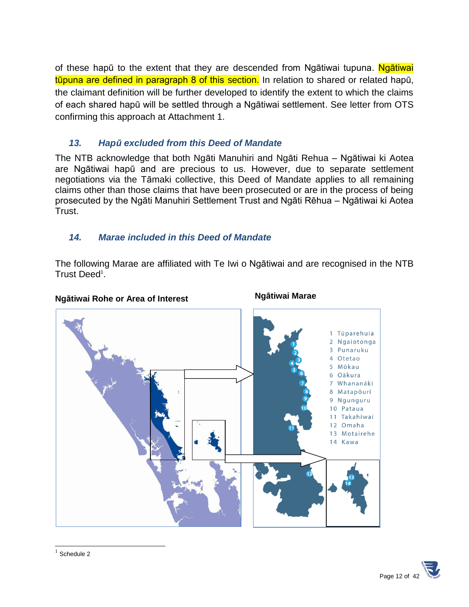of these hapū to the extent that they are descended from Ngātiwai tupuna. Ngātiwai tūpuna are defined in paragraph 8 of this section. In relation to shared or related hapū, the claimant definition will be further developed to identify the extent to which the claims of each shared hapū will be settled through a Ngātiwai settlement. See letter from OTS confirming this approach at Attachment 1.

## *13. Hapū excluded from this Deed of Mandate*

The NTB acknowledge that both Ngāti Manuhiri and Ngāti Rehua – Ngātiwai ki Aotea are Ngātiwai hapū and are precious to us. However, due to separate settlement negotiations via the Tāmaki collective, this Deed of Mandate applies to all remaining claims other than those claims that have been prosecuted or are in the process of being prosecuted by the Ngāti Manuhiri Settlement Trust and Ngāti Rēhua – Ngātiwai ki Aotea Trust.

# *14. Marae included in this Deed of Mandate*

The following Marae are affiliated with Te Iwi o Ngātiwai and are recognised in the NTB Trust Deed<sup>1</sup>.

#### **Ngātiwai Rohe or Area of Interest**

#### **Ngātiwai Marae**





l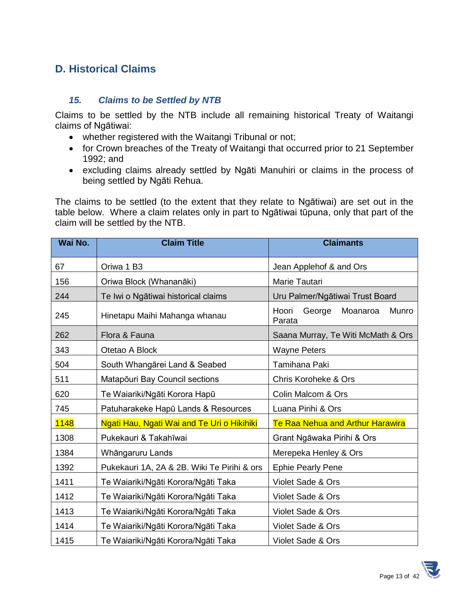# **D. Historical Claims**

#### *15. Claims to be Settled by NTB*

Claims to be settled by the NTB include all remaining historical Treaty of Waitangi claims of Ngātiwai:

- whether registered with the Waitangi Tribunal or not;
- for Crown breaches of the Treaty of Waitangi that occurred prior to 21 September 1992; and
- excluding claims already settled by Ngāti Manuhiri or claims in the process of being settled by Ngāti Rehua.

The claims to be settled (to the extent that they relate to Ngātiwai) are set out in the table below. Where a claim relates only in part to Ngātiwai tūpuna, only that part of the claim will be settled by the NTB.

| Wai No.     | <b>Claim Title</b>                          | <b>Claimants</b>                               |
|-------------|---------------------------------------------|------------------------------------------------|
| 67          | Oriwa 1 B3                                  | Jean Applehof & and Ors                        |
| 156         | Oriwa Block (Whananāki)                     | Marie Tautari                                  |
| 244         | Te Iwi o Ngātiwai historical claims         | Uru Palmer/Ngātiwai Trust Board                |
| 245         | Hinetapu Maihi Mahanga whanau               | George<br>Moanaroa<br>Munro<br>Hoori<br>Parata |
| 262         | Flora & Fauna                               | Saana Murray, Te Witi McMath & Ors             |
| 343         | Otetao A Block                              | <b>Wayne Peters</b>                            |
| 504         | South Whangārei Land & Seabed               | Tamihana Paki                                  |
| 511         | Matapōuri Bay Council sections              | <b>Chris Koroheke &amp; Ors</b>                |
| 620         | Te Waiariki/Ngāti Korora Hapū               | Colin Malcom & Ors                             |
| 745         | Patuharakeke Hapū Lands & Resources         | Luana Pirihi & Ors                             |
| <b>1148</b> | Ngati Hau, Ngati Wai and Te Uri o Hikihiki  | Te Raa Nehua and Arthur Harawira               |
| 1308        | Pukekauri & Takahīwai                       | Grant Ngāwaka Pirihi & Ors                     |
| 1384        | Whāngaruru Lands                            | Merepeka Henley & Ors                          |
| 1392        | Pukekauri 1A, 2A & 2B. Wiki Te Pirihi & ors | <b>Ephie Pearly Pene</b>                       |
| 1411        | Te Waiariki/Ngāti Korora/Ngāti Taka         | Violet Sade & Ors                              |
| 1412        | Te Waiariki/Ngāti Korora/Ngāti Taka         | Violet Sade & Ors                              |
| 1413        | Te Waiariki/Ngāti Korora/Ngāti Taka         | Violet Sade & Ors                              |
| 1414        | Te Waiariki/Ngāti Korora/Ngāti Taka         | Violet Sade & Ors                              |
| 1415        | Te Waiariki/Ngāti Korora/Ngāti Taka         | Violet Sade & Ors                              |

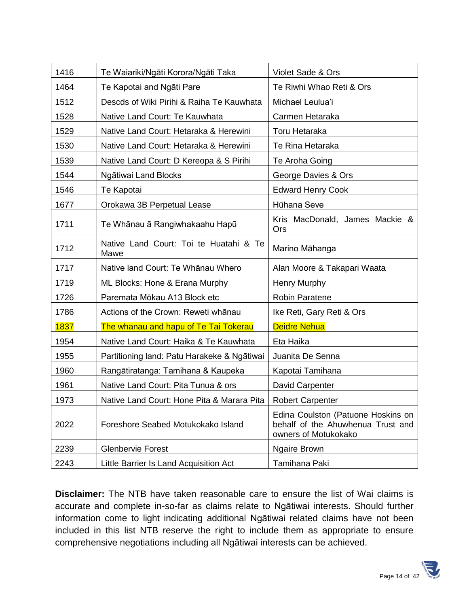| 1416 | Te Waiariki/Ngāti Korora/Ngāti Taka            | Violet Sade & Ors                                                                               |
|------|------------------------------------------------|-------------------------------------------------------------------------------------------------|
| 1464 | Te Kapotai and Ngāti Pare                      | Te Riwhi Whao Reti & Ors                                                                        |
| 1512 | Descds of Wiki Pirihi & Raiha Te Kauwhata      | Michael Leulua'i                                                                                |
| 1528 | Native Land Court: Te Kauwhata                 | Carmen Hetaraka                                                                                 |
| 1529 | Native Land Court: Hetaraka & Herewini         | Toru Hetaraka                                                                                   |
| 1530 | Native Land Court: Hetaraka & Herewini         | Te Rina Hetaraka                                                                                |
| 1539 | Native Land Court: D Kereopa & S Pirihi        | Te Aroha Going                                                                                  |
| 1544 | Ngātiwai Land Blocks                           | George Davies & Ors                                                                             |
| 1546 | Te Kapotai                                     | <b>Edward Henry Cook</b>                                                                        |
| 1677 | Orokawa 3B Perpetual Lease                     | Hūhana Seve                                                                                     |
| 1711 | Te Whānau ā Rangiwhakaahu Hapū                 | Kris MacDonald, James Mackie &<br><b>Ors</b>                                                    |
| 1712 | Native Land Court: Toi te Huatahi & Te<br>Mawe | Marino Māhanga                                                                                  |
| 1717 | Native land Court: Te Whānau Whero             | Alan Moore & Takapari Waata                                                                     |
| 1719 | ML Blocks: Hone & Erana Murphy                 | Henry Murphy                                                                                    |
| 1726 | Paremata Mōkau A13 Block etc                   | <b>Robin Paratene</b>                                                                           |
| 1786 | Actions of the Crown: Reweti whānau            | Ike Reti, Gary Reti & Ors                                                                       |
| 1837 | The whanau and hapu of Te Tai Tokerau          | <b>Deidre Nehua</b>                                                                             |
| 1954 | Native Land Court: Haika & Te Kauwhata         | Eta Haika                                                                                       |
| 1955 | Partitioning land: Patu Harakeke & Ngātiwai    | Juanita De Senna                                                                                |
| 1960 | Rangātiratanga: Tamihana & Kaupeka             | Kapotai Tamihana                                                                                |
| 1961 | Native Land Court: Pita Tunua & ors            | David Carpenter                                                                                 |
| 1973 | Native Land Court: Hone Pita & Marara Pita     | <b>Robert Carpenter</b>                                                                         |
| 2022 | Foreshore Seabed Motukokako Island             | Edina Coulston (Patuone Hoskins on<br>behalf of the Ahuwhenua Trust and<br>owners of Motukokako |
| 2239 | <b>Glenbervie Forest</b>                       | <b>Ngaire Brown</b>                                                                             |
| 2243 | Little Barrier Is Land Acquisition Act         | Tamihana Paki                                                                                   |

**Disclaimer:** The NTB have taken reasonable care to ensure the list of Wai claims is accurate and complete in-so-far as claims relate to Ngātiwai interests. Should further information come to light indicating additional Ngātiwai related claims have not been included in this list NTB reserve the right to include them as appropriate to ensure comprehensive negotiations including all Ngātiwai interests can be achieved.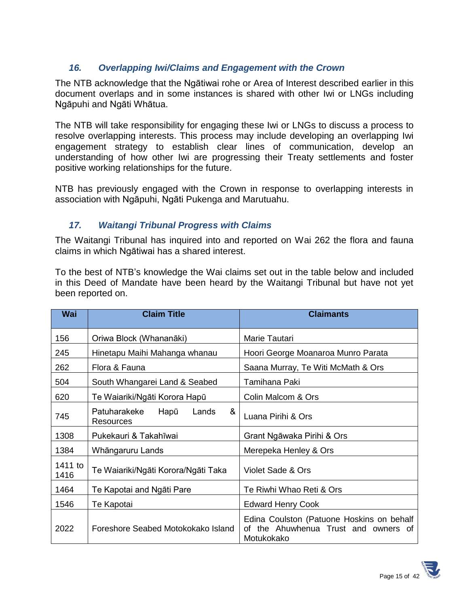## *16. Overlapping Iwi/Claims and Engagement with the Crown*

The NTB acknowledge that the Ngātiwai rohe or Area of Interest described earlier in this document overlaps and in some instances is shared with other Iwi or LNGs including Ngāpuhi and Ngāti Whātua.

The NTB will take responsibility for engaging these Iwi or LNGs to discuss a process to resolve overlapping interests. This process may include developing an overlapping Iwi engagement strategy to establish clear lines of communication, develop an understanding of how other Iwi are progressing their Treaty settlements and foster positive working relationships for the future.

NTB has previously engaged with the Crown in response to overlapping interests in association with Ngāpuhi, Ngāti Pukenga and Marutuahu.

#### *17. Waitangi Tribunal Progress with Claims*

The Waitangi Tribunal has inquired into and reported on Wai 262 the flora and fauna claims in which Ngātiwai has a shared interest.

To the best of NTB's knowledge the Wai claims set out in the table below and included in this Deed of Mandate have been heard by the Waitangi Tribunal but have not yet been reported on.

| <b>Wai</b>      | <b>Claim Title</b>                              | <b>Claimants</b>                                                                                |
|-----------------|-------------------------------------------------|-------------------------------------------------------------------------------------------------|
| 156             | Oriwa Block (Whananāki)                         | Marie Tautari                                                                                   |
| 245             | Hinetapu Maihi Mahanga whanau                   | Hoori George Moanaroa Munro Parata                                                              |
| 262             | Flora & Fauna                                   | Saana Murray, Te Witi McMath & Ors                                                              |
| 504             | South Whangarei Land & Seabed                   | Tamihana Paki                                                                                   |
| 620             | Te Waiariki/Ngāti Korora Hapū                   | Colin Malcom & Ors                                                                              |
| 745             | &<br>Patuharakeke<br>Hapū<br>Lands<br>Resources | Luana Pirihi & Ors                                                                              |
| 1308            | Pukekauri & Takahīwai                           | Grant Ngāwaka Pirihi & Ors                                                                      |
| 1384            | Whāngaruru Lands                                | Merepeka Henley & Ors                                                                           |
| 1411 to<br>1416 | Te Waiariki/Ngāti Korora/Ngāti Taka             | Violet Sade & Ors                                                                               |
| 1464            | Te Kapotai and Ngāti Pare                       | Te Riwhi Whao Reti & Ors                                                                        |
| 1546            | Te Kapotai                                      | <b>Edward Henry Cook</b>                                                                        |
| 2022            | Foreshore Seabed Motokokako Island              | Edina Coulston (Patuone Hoskins on behalf<br>of the Ahuwhenua Trust and owners of<br>Motukokako |

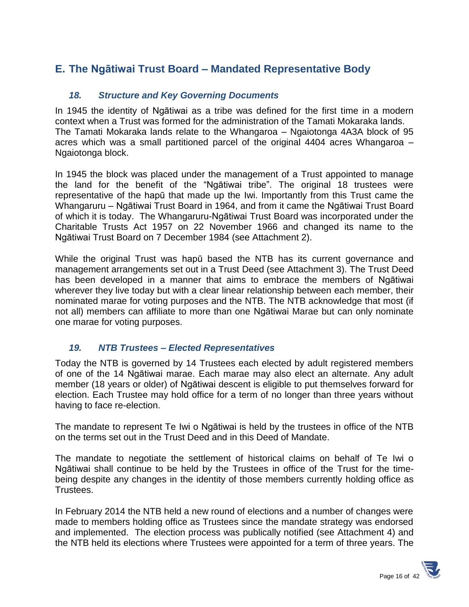# **E. The Ngātiwai Trust Board – Mandated Representative Body**

#### *18. Structure and Key Governing Documents*

In 1945 the identity of Ngātiwai as a tribe was defined for the first time in a modern context when a Trust was formed for the administration of the Tamati Mokaraka lands. The Tamati Mokaraka lands relate to the Whangaroa – Ngaiotonga 4A3A block of 95 acres which was a small partitioned parcel of the original 4404 acres Whangaroa – Ngaiotonga block.

In 1945 the block was placed under the management of a Trust appointed to manage the land for the benefit of the "Ngātiwai tribe". The original 18 trustees were representative of the hapū that made up the Iwi. Importantly from this Trust came the Whangaruru – Ngātiwai Trust Board in 1964, and from it came the Ngātiwai Trust Board of which it is today. The Whangaruru-Ngātiwai Trust Board was incorporated under the Charitable Trusts Act 1957 on 22 November 1966 and changed its name to the Ngātiwai Trust Board on 7 December 1984 (see Attachment 2).

While the original Trust was hapū based the NTB has its current governance and management arrangements set out in a Trust Deed (see Attachment 3). The Trust Deed has been developed in a manner that aims to embrace the members of Ngātiwai wherever they live today but with a clear linear relationship between each member, their nominated marae for voting purposes and the NTB. The NTB acknowledge that most (if not all) members can affiliate to more than one Ngātiwai Marae but can only nominate one marae for voting purposes.

#### *19. NTB Trustees – Elected Representatives*

Today the NTB is governed by 14 Trustees each elected by adult registered members of one of the 14 Ngātiwai marae. Each marae may also elect an alternate. Any adult member (18 years or older) of Ngātiwai descent is eligible to put themselves forward for election. Each Trustee may hold office for a term of no longer than three years without having to face re-election.

The mandate to represent Te Iwi o Ngātiwai is held by the trustees in office of the NTB on the terms set out in the Trust Deed and in this Deed of Mandate.

The mandate to negotiate the settlement of historical claims on behalf of Te Iwi o Ngātiwai shall continue to be held by the Trustees in office of the Trust for the timebeing despite any changes in the identity of those members currently holding office as Trustees.

In February 2014 the NTB held a new round of elections and a number of changes were made to members holding office as Trustees since the mandate strategy was endorsed and implemented. The election process was publically notified (see Attachment 4) and the NTB held its elections where Trustees were appointed for a term of three years. The

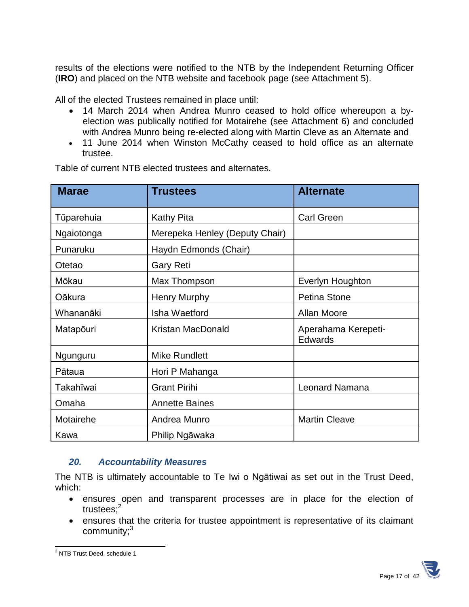results of the elections were notified to the NTB by the Independent Returning Officer (**IRO**) and placed on the NTB website and facebook page (see Attachment 5).

All of the elected Trustees remained in place until:

- 14 March 2014 when Andrea Munro ceased to hold office whereupon a byelection was publically notified for Motairehe (see Attachment 6) and concluded with Andrea Munro being re-elected along with Martin Cleve as an Alternate and
- 11 June 2014 when Winston McCathy ceased to hold office as an alternate trustee.

| <b>Marae</b> | Trustees                       | <b>Alternate</b>                      |
|--------------|--------------------------------|---------------------------------------|
| Tūparehuia   | Kathy Pita                     | <b>Carl Green</b>                     |
| Ngaiotonga   | Merepeka Henley (Deputy Chair) |                                       |
| Punaruku     | Haydn Edmonds (Chair)          |                                       |
| Otetao       | <b>Gary Reti</b>               |                                       |
| Mōkau        | Max Thompson                   | Everlyn Houghton                      |
| Oākura       | Henry Murphy                   | <b>Petina Stone</b>                   |
| Whananāki    | Isha Waetford                  | <b>Allan Moore</b>                    |
| Matapōuri    | <b>Kristan MacDonald</b>       | Aperahama Kerepeti-<br><b>Edwards</b> |
| Ngunguru     | <b>Mike Rundlett</b>           |                                       |
| Pātaua       | Hori P Mahanga                 |                                       |
| Takahīwai    | <b>Grant Pirihi</b>            | <b>Leonard Namana</b>                 |
| Omaha        | <b>Annette Baines</b>          |                                       |
| Motairehe    | Andrea Munro                   | <b>Martin Cleave</b>                  |
| Kawa         | Philip Ngāwaka                 |                                       |

Table of current NTB elected trustees and alternates.

#### *20. Accountability Measures*

The NTB is ultimately accountable to Te Iwi o Ngātiwai as set out in the Trust Deed, which:

- ensures open and transparent processes are in place for the election of trustees;<sup>2</sup>
- ensures that the criteria for trustee appointment is representative of its claimant community; $3$



l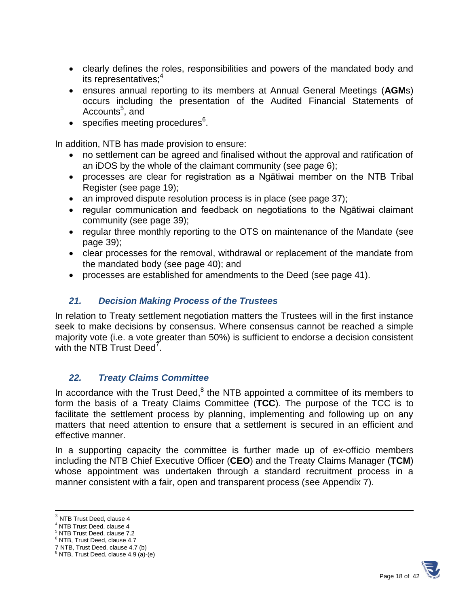- clearly defines the roles, responsibilities and powers of the mandated body and its representatives:<sup>4</sup>
- ensures annual reporting to its members at Annual General Meetings (**AGM**s) occurs including the presentation of the Audited Financial Statements of Accounts<sup>5</sup>, and
- specifies meeting procedures<sup>6</sup>.

In addition, NTB has made provision to ensure:

- no settlement can be agreed and finalised without the approval and ratification of an iDOS by the whole of the claimant community (see page 6);
- processes are clear for registration as a Ngātiwai member on the NTB Tribal Register (see page 19);
- an improved dispute resolution process is in place (see page 37);
- regular communication and feedback on negotiations to the Ngātiwai claimant community (see page 39);
- regular three monthly reporting to the OTS on maintenance of the Mandate (see page 39);
- clear processes for the removal, withdrawal or replacement of the mandate from the mandated body (see page 40); and
- processes are established for amendments to the Deed (see page 41).

#### *21. Decision Making Process of the Trustees*

In relation to Treaty settlement negotiation matters the Trustees will in the first instance seek to make decisions by consensus. Where consensus cannot be reached a simple majority vote (i.e. a vote greater than 50%) is sufficient to endorse a decision consistent with the NTB Trust Deed<sup>7</sup>.

#### *22. Treaty Claims Committee*

In accordance with the Trust Deed, $^8$  the NTB appointed a committee of its members to form the basis of a Treaty Claims Committee (**TCC**). The purpose of the TCC is to facilitate the settlement process by planning, implementing and following up on any matters that need attention to ensure that a settlement is secured in an efficient and effective manner.

In a supporting capacity the committee is further made up of ex-officio members including the NTB Chief Executive Officer (**CEO**) and the Treaty Claims Manager (**TCM**) whose appointment was undertaken through a standard recruitment process in a manner consistent with a fair, open and transparent process (see Appendix 7).

l



 $3$  NTB Trust Deed, clause 4

<sup>&</sup>lt;sup>4</sup> NTB Trust Deed, clause 4

<sup>5</sup> NTB Trust Deed, clause 7.2

<sup>6</sup> NTB, Trust Deed, clause 4.7

<sup>7</sup> NTB, Trust Deed, clause 4.7 (b) <sup>8</sup> NTB, Trust Deed, clause 4.9 (a)-(e)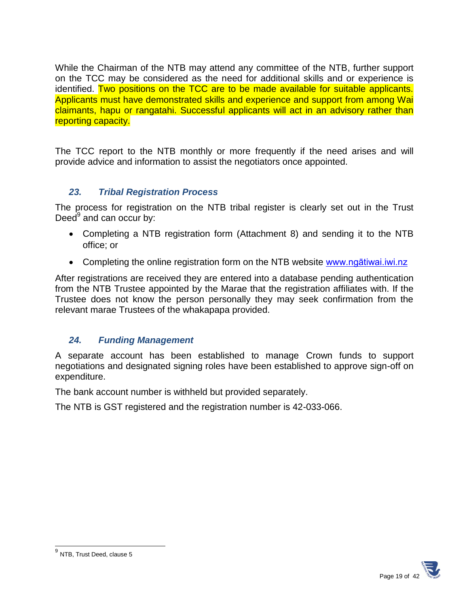While the Chairman of the NTB may attend any committee of the NTB, further support on the TCC may be considered as the need for additional skills and or experience is identified. Two positions on the TCC are to be made available for suitable applicants. Applicants must have demonstrated skills and experience and support from among Wai claimants, hapu or rangatahi. Successful applicants will act in an advisory rather than reporting capacity.

The TCC report to the NTB monthly or more frequently if the need arises and will provide advice and information to assist the negotiators once appointed.

## *23. Tribal Registration Process*

The process for registration on the NTB tribal register is clearly set out in the Trust Deed<sup>9</sup> and can occur by:

- Completing a NTB registration form (Attachment 8) and sending it to the NTB office; or
- Completing the online registration form on the NTB website www.ngatiwai.iwi.nz

After registrations are received they are entered into a database pending authentication from the NTB Trustee appointed by the Marae that the registration affiliates with. If the Trustee does not know the person personally they may seek confirmation from the relevant marae Trustees of the whakapapa provided.

## *24. Funding Management*

A separate account has been established to manage Crown funds to support negotiations and designated signing roles have been established to approve sign-off on expenditure.

The bank account number is withheld but provided separately.

The NTB is GST registered and the registration number is 42-033-066.



 9 NTB, Trust Deed, clause 5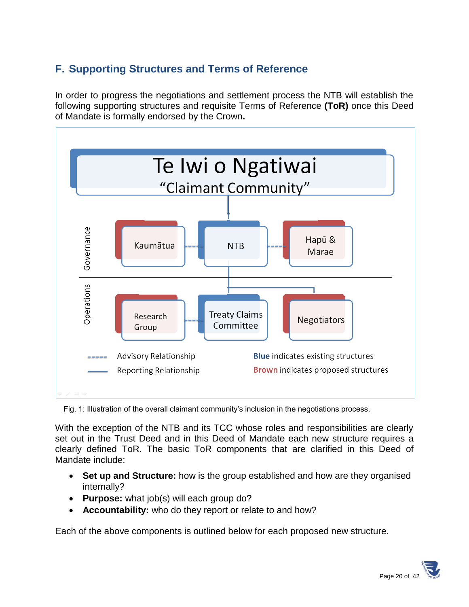# **F. Supporting Structures and Terms of Reference**

In order to progress the negotiations and settlement process the NTB will establish the following supporting structures and requisite Terms of Reference **(ToR)** once this Deed of Mandate is formally endorsed by the Crown**.**



Fig. 1: Illustration of the overall claimant community's inclusion in the negotiations process.

With the exception of the NTB and its TCC whose roles and responsibilities are clearly set out in the Trust Deed and in this Deed of Mandate each new structure requires a clearly defined ToR. The basic ToR components that are clarified in this Deed of Mandate include:

- **Set up and Structure:** how is the group established and how are they organised internally?
- **Purpose:** what job(s) will each group do?
- **Accountability:** who do they report or relate to and how?

Each of the above components is outlined below for each proposed new structure.

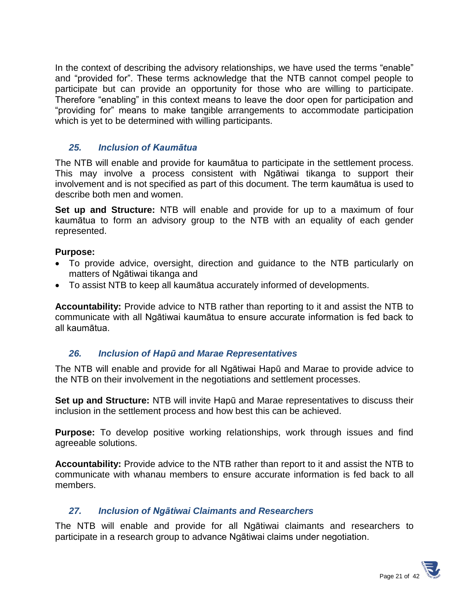In the context of describing the advisory relationships, we have used the terms "enable" and "provided for". These terms acknowledge that the NTB cannot compel people to participate but can provide an opportunity for those who are willing to participate. Therefore "enabling" in this context means to leave the door open for participation and "providing for" means to make tangible arrangements to accommodate participation which is yet to be determined with willing participants.

#### *25. Inclusion of Kaumātua*

The NTB will enable and provide for kaumātua to participate in the settlement process. This may involve a process consistent with Ngātiwai tikanga to support their involvement and is not specified as part of this document. The term kaumātua is used to describe both men and women.

**Set up and Structure:** NTB will enable and provide for up to a maximum of four kaumātua to form an advisory group to the NTB with an equality of each gender represented.

#### **Purpose:**

- To provide advice, oversight, direction and guidance to the NTB particularly on matters of Ngātiwai tikanga and
- To assist NTB to keep all kaumātua accurately informed of developments.

**Accountability:** Provide advice to NTB rather than reporting to it and assist the NTB to communicate with all Ngātiwai kaumātua to ensure accurate information is fed back to all kaumātua.

#### *26. Inclusion of Hapū and Marae Representatives*

The NTB will enable and provide for all Ngātiwai Hapū and Marae to provide advice to the NTB on their involvement in the negotiations and settlement processes.

**Set up and Structure:** NTB will invite Hapū and Marae representatives to discuss their inclusion in the settlement process and how best this can be achieved.

**Purpose:** To develop positive working relationships, work through issues and find agreeable solutions.

**Accountability:** Provide advice to the NTB rather than report to it and assist the NTB to communicate with whanau members to ensure accurate information is fed back to all members.

#### *27. Inclusion of Ngātiwai Claimants and Researchers*

The NTB will enable and provide for all Ngātiwai claimants and researchers to participate in a research group to advance Ngātiwai claims under negotiation.

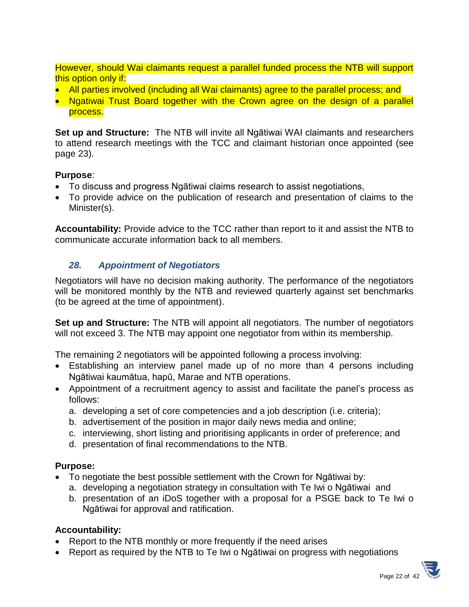However, should Wai claimants request a parallel funded process the NTB will support this option only if:

- All parties involved (including all Wai claimants) agree to the parallel process; and
- Ngatiwai Trust Board together with the Crown agree on the design of a parallel process.

**Set up and Structure:** The NTB will invite all Ngātiwai WAI claimants and researchers to attend research meetings with the TCC and claimant historian once appointed (see page 23).

#### **Purpose**:

- To discuss and progress Ngātiwai claims research to assist negotiations,
- To provide advice on the publication of research and presentation of claims to the Minister(s).

**Accountability:** Provide advice to the TCC rather than report to it and assist the NTB to communicate accurate information back to all members.

#### *28. Appointment of Negotiators*

Negotiators will have no decision making authority. The performance of the negotiators will be monitored monthly by the NTB and reviewed quarterly against set benchmarks (to be agreed at the time of appointment).

**Set up and Structure:** The NTB will appoint all negotiators. The number of negotiators will not exceed 3. The NTB may appoint one negotiator from within its membership.

The remaining 2 negotiators will be appointed following a process involving:

- Establishing an interview panel made up of no more than 4 persons including Ngātiwai kaumātua, hapū, Marae and NTB operations.
- Appointment of a recruitment agency to assist and facilitate the panel's process as follows:
	- a. developing a set of core competencies and a job description (i.e. criteria);
	- b. advertisement of the position in major daily news media and online;
	- c. interviewing, short listing and prioritising applicants in order of preference; and
	- d. presentation of final recommendations to the NTB.

#### **Purpose:**

- To negotiate the best possible settlement with the Crown for Ngātiwai by:
	- a. developing a negotiation strategy in consultation with Te Iwi o Ngātiwai and
	- b. presentation of an iDoS together with a proposal for a PSGE back to Te Iwi o Ngātiwai for approval and ratification.

#### **Accountability:**

- Report to the NTB monthly or more frequently if the need arises
- Report as required by the NTB to Te Iwi o Ngātiwai on progress with negotiations

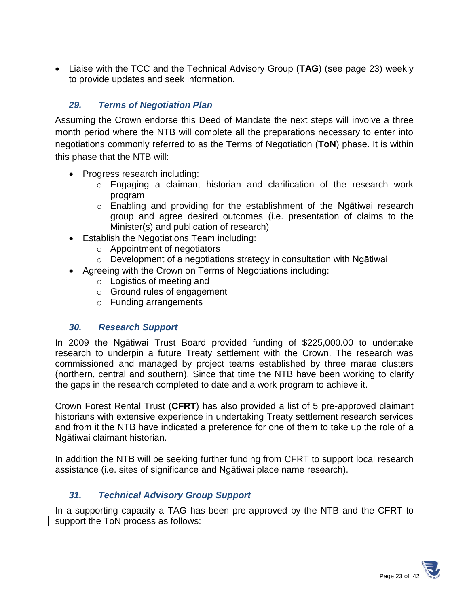Liaise with the TCC and the Technical Advisory Group (**TAG**) (see page 23) weekly to provide updates and seek information.

## *29. Terms of Negotiation Plan*

Assuming the Crown endorse this Deed of Mandate the next steps will involve a three month period where the NTB will complete all the preparations necessary to enter into negotiations commonly referred to as the Terms of Negotiation (**ToN**) phase. It is within this phase that the NTB will:

- Progress research including:
	- o Engaging a claimant historian and clarification of the research work program
	- $\circ$  Enabling and providing for the establishment of the Ngātiwai research group and agree desired outcomes (i.e. presentation of claims to the Minister(s) and publication of research)
- Establish the Negotiations Team including:
	- o Appointment of negotiators
	- o Development of a negotiations strategy in consultation with Ngātiwai
- Agreeing with the Crown on Terms of Negotiations including:
	- o Logistics of meeting and
	- o Ground rules of engagement
	- o Funding arrangements

#### *30. Research Support*

In 2009 the Ngātiwai Trust Board provided funding of \$225,000.00 to undertake research to underpin a future Treaty settlement with the Crown. The research was commissioned and managed by project teams established by three marae clusters (northern, central and southern). Since that time the NTB have been working to clarify the gaps in the research completed to date and a work program to achieve it.

Crown Forest Rental Trust (**CFRT**) has also provided a list of 5 pre-approved claimant historians with extensive experience in undertaking Treaty settlement research services and from it the NTB have indicated a preference for one of them to take up the role of a Ngātiwai claimant historian.

In addition the NTB will be seeking further funding from CFRT to support local research assistance (i.e. sites of significance and Ngātiwai place name research).

#### *31. Technical Advisory Group Support*

In a supporting capacity a TAG has been pre-approved by the NTB and the CFRT to support the ToN process as follows:

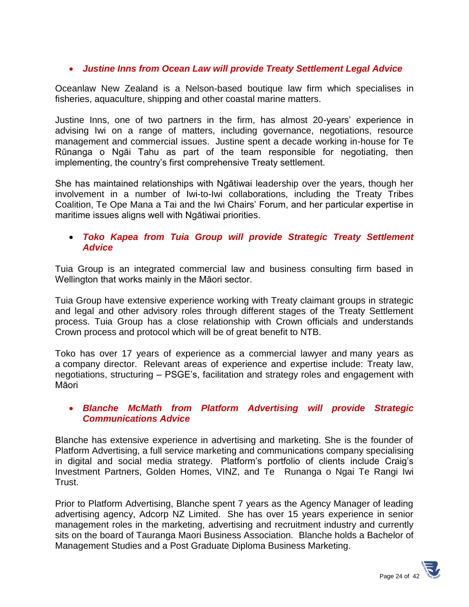#### *Justine Inns from Ocean Law will provide Treaty Settlement Legal Advice*

Oceanlaw New Zealand is a Nelson-based boutique law firm which specialises in fisheries, aquaculture, shipping and other coastal marine matters.

Justine Inns, one of two partners in the firm, has almost 20-years' experience in advising Iwi on a range of matters, including governance, negotiations, resource management and commercial issues. Justine spent a decade working in-house for Te Rūnanga o Ngāi Tahu as part of the team responsible for negotiating, then implementing, the country's first comprehensive Treaty settlement.

She has maintained relationships with Ngātiwai leadership over the years, though her involvement in a number of Iwi-to-Iwi collaborations, including the Treaty Tribes Coalition, Te Ope Mana a Tai and the Iwi Chairs' Forum, and her particular expertise in maritime issues aligns well with Ngātiwai priorities.

#### *Toko Kapea from Tuia Group will provide Strategic Treaty Settlement Advice*

Tuia Group is an integrated commercial law and business consulting firm based in Wellington that works mainly in the Māori sector.

Tuia Group have extensive experience working with Treaty claimant groups in strategic and legal and other advisory roles through different stages of the Treaty Settlement process. Tuia Group has a close relationship with Crown officials and understands Crown process and protocol which will be of great benefit to NTB.

Toko has over 17 years of experience as a commercial lawyer and many years as a company director. Relevant areas of experience and expertise include: Treaty law, negotiations, structuring – PSGE's, facilitation and strategy roles and engagement with Māori

#### *Blanche McMath from Platform Advertising will provide Strategic Communications Advice*

Blanche has extensive experience in advertising and marketing. She is the founder of Platform Advertising, a full service marketing and communications company specialising in digital and social media strategy. Platform's portfolio of clients include Craig's Investment Partners, Golden Homes, VINZ, and Te Runanga o Ngai Te Rangi Iwi Trust.

Prior to Platform Advertising, Blanche spent 7 years as the Agency Manager of leading advertising agency, Adcorp NZ Limited. She has over 15 years experience in senior management roles in the marketing, advertising and recruitment industry and currently sits on the board of Tauranga Maori Business Association. Blanche holds a Bachelor of Management Studies and a Post Graduate Diploma Business Marketing.

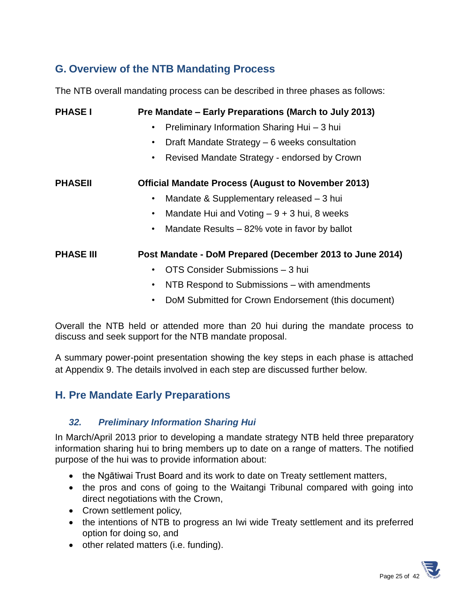# **G. Overview of the NTB Mandating Process**

The NTB overall mandating process can be described in three phases as follows:

| <b>PHASE I</b>   | Pre Mandate – Early Preparations (March to July 2013)     |
|------------------|-----------------------------------------------------------|
|                  | Preliminary Information Sharing Hui - 3 hui<br>٠          |
|                  | Draft Mandate Strategy – 6 weeks consultation<br>٠        |
|                  | Revised Mandate Strategy - endorsed by Crown<br>٠         |
| <b>PHASEII</b>   | <b>Official Mandate Process (August to November 2013)</b> |
|                  | Mandate & Supplementary released – 3 hui<br>٠             |
|                  | Mandate Hui and Voting $-9+3$ hui, 8 weeks<br>٠           |
|                  | Mandate Results – 82% vote in favor by ballot<br>٠        |
| <b>PHASE III</b> | Post Mandate - DoM Prepared (December 2013 to June 2014)  |
|                  | OTS Consider Submissions - 3 hui<br>٠                     |
|                  | NTB Respond to Submissions – with amendments<br>٠         |
|                  | DoM Submitted for Crown Endorsement (this document)<br>٠  |

Overall the NTB held or attended more than 20 hui during the mandate process to discuss and seek support for the NTB mandate proposal.

A summary power-point presentation showing the key steps in each phase is attached at Appendix 9. The details involved in each step are discussed further below.

# **H. Pre Mandate Early Preparations**

#### *32. Preliminary Information Sharing Hui*

In March/April 2013 prior to developing a mandate strategy NTB held three preparatory information sharing hui to bring members up to date on a range of matters. The notified purpose of the hui was to provide information about:

- the Ngātiwai Trust Board and its work to date on Treaty settlement matters,
- the pros and cons of going to the Waitangi Tribunal compared with going into direct negotiations with the Crown,
- Crown settlement policy,
- the intentions of NTB to progress an Iwi wide Treaty settlement and its preferred option for doing so, and
- other related matters (i.e. funding).

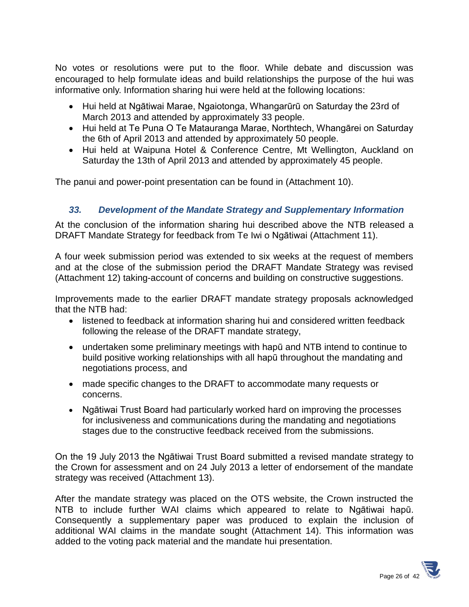No votes or resolutions were put to the floor. While debate and discussion was encouraged to help formulate ideas and build relationships the purpose of the hui was informative only. Information sharing hui were held at the following locations:

- Hui held at Ngātiwai Marae, Ngaiotonga, Whangarūrū on Saturday the 23rd of March 2013 and attended by approximately 33 people.
- Hui held at Te Puna O Te Matauranga Marae, Northtech, Whangārei on Saturday the 6th of April 2013 and attended by approximately 50 people.
- Hui held at Waipuna Hotel & Conference Centre, Mt Wellington, Auckland on Saturday the 13th of April 2013 and attended by approximately 45 people.

The panui and power-point presentation can be found in (Attachment 10).

## *33. Development of the Mandate Strategy and Supplementary Information*

At the conclusion of the information sharing hui described above the NTB released a DRAFT Mandate Strategy for feedback from Te Iwi o Ngātiwai (Attachment 11).

A four week submission period was extended to six weeks at the request of members and at the close of the submission period the DRAFT Mandate Strategy was revised (Attachment 12) taking-account of concerns and building on constructive suggestions.

Improvements made to the earlier DRAFT mandate strategy proposals acknowledged that the NTB had:

- listened to feedback at information sharing hui and considered written feedback following the release of the DRAFT mandate strategy,
- undertaken some preliminary meetings with hapū and NTB intend to continue to build positive working relationships with all hapū throughout the mandating and negotiations process, and
- made specific changes to the DRAFT to accommodate many requests or concerns.
- Ngātiwai Trust Board had particularly worked hard on improving the processes for inclusiveness and communications during the mandating and negotiations stages due to the constructive feedback received from the submissions.

On the 19 July 2013 the Ngātiwai Trust Board submitted a revised mandate strategy to the Crown for assessment and on 24 July 2013 a letter of endorsement of the mandate strategy was received (Attachment 13).

After the mandate strategy was placed on the OTS website, the Crown instructed the NTB to include further WAI claims which appeared to relate to Ngātiwai hapū. Consequently a supplementary paper was produced to explain the inclusion of additional WAI claims in the mandate sought (Attachment 14). This information was added to the voting pack material and the mandate hui presentation.

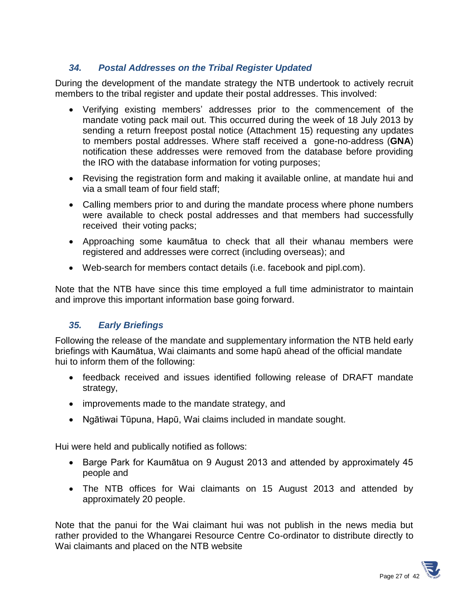## *34. Postal Addresses on the Tribal Register Updated*

During the development of the mandate strategy the NTB undertook to actively recruit members to the tribal register and update their postal addresses. This involved:

- Verifying existing members' addresses prior to the commencement of the mandate voting pack mail out. This occurred during the week of 18 July 2013 by sending a return freepost postal notice (Attachment 15) requesting any updates to members postal addresses. Where staff received a gone-no-address (**GNA**) notification these addresses were removed from the database before providing the IRO with the database information for voting purposes;
- Revising the registration form and making it available online, at mandate hui and via a small team of four field staff;
- Calling members prior to and during the mandate process where phone numbers were available to check postal addresses and that members had successfully received their voting packs;
- Approaching some kaumātua to check that all their whanau members were registered and addresses were correct (including overseas); and
- Web-search for members contact details (i.e. facebook and pipl.com).

Note that the NTB have since this time employed a full time administrator to maintain and improve this important information base going forward.

#### *35. Early Briefings*

Following the release of the mandate and supplementary information the NTB held early briefings with Kaumātua, Wai claimants and some hapū ahead of the official mandate hui to inform them of the following:

- feedback received and issues identified following release of DRAFT mandate strategy,
- improvements made to the mandate strategy, and
- Ngātiwai Tūpuna, Hapū, Wai claims included in mandate sought.

Hui were held and publically notified as follows:

- Barge Park for Kaumātua on 9 August 2013 and attended by approximately 45 people and
- The NTB offices for Wai claimants on 15 August 2013 and attended by approximately 20 people.

Note that the panui for the Wai claimant hui was not publish in the news media but rather provided to the Whangarei Resource Centre Co-ordinator to distribute directly to Wai claimants and placed on the NTB website

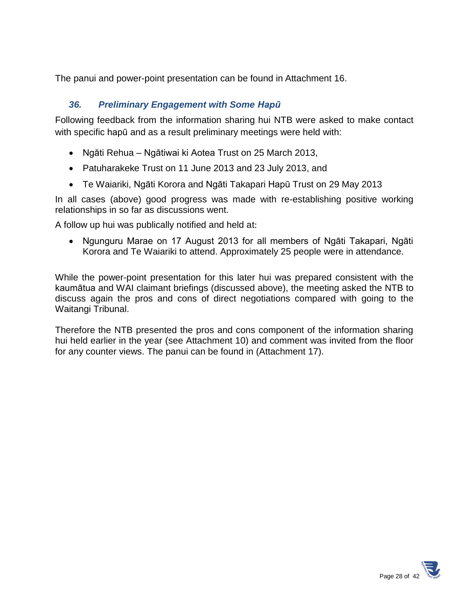The panui and power-point presentation can be found in Attachment 16.

# *36. Preliminary Engagement with Some Hapū*

Following feedback from the information sharing hui NTB were asked to make contact with specific hapū and as a result preliminary meetings were held with:

- Ngāti Rehua Ngātiwai ki Aotea Trust on 25 March 2013,
- Patuharakeke Trust on 11 June 2013 and 23 July 2013, and
- Te Waiariki, Ngāti Korora and Ngāti Takapari Hapū Trust on 29 May 2013

In all cases (above) good progress was made with re-establishing positive working relationships in so far as discussions went.

A follow up hui was publically notified and held at:

 Ngunguru Marae on 17 August 2013 for all members of Ngāti Takapari, Ngāti Korora and Te Waiariki to attend. Approximately 25 people were in attendance.

While the power-point presentation for this later hui was prepared consistent with the kaumātua and WAI claimant briefings (discussed above), the meeting asked the NTB to discuss again the pros and cons of direct negotiations compared with going to the Waitangi Tribunal.

Therefore the NTB presented the pros and cons component of the information sharing hui held earlier in the year (see Attachment 10) and comment was invited from the floor for any counter views. The panui can be found in (Attachment 17).

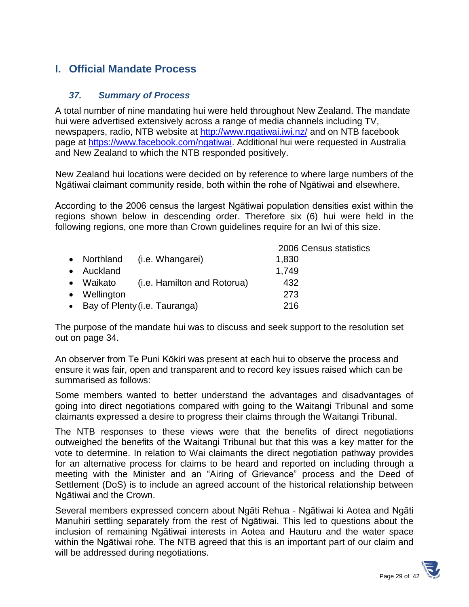# **I. Official Mandate Process**

#### *37. Summary of Process*

A total number of nine mandating hui were held throughout New Zealand. The mandate hui were advertised extensively across a range of media channels including TV, newspapers, radio, NTB website at<http://www.ngatiwai.iwi.nz/> and on NTB facebook page at [https://www.facebook.com/ngatiwai.](https://www.facebook.com/ngatiwai) Additional hui were requested in Australia and New Zealand to which the NTB responded positively.

New Zealand hui locations were decided on by reference to where large numbers of the Ngātiwai claimant community reside, both within the rohe of Ngātiwai and elsewhere.

According to the 2006 census the largest Ngātiwai population densities exist within the regions shown below in descending order. Therefore six (6) hui were held in the following regions, one more than Crown guidelines require for an Iwi of this size.

|              |                                 | 2006 Census statistics |  |
|--------------|---------------------------------|------------------------|--|
|              | • Northland (i.e. Whangarei)    | 1,830                  |  |
| • Auckland   |                                 | 1.749                  |  |
| • Waikato    | (i.e. Hamilton and Rotorua)     | 432                    |  |
| • Wellington |                                 | 273                    |  |
|              | • Bay of Plenty (i.e. Tauranga) | 216                    |  |

The purpose of the mandate hui was to discuss and seek support to the resolution set out on page 34.

An observer from Te Puni Kōkiri was present at each hui to observe the process and ensure it was fair, open and transparent and to record key issues raised which can be summarised as follows:

Some members wanted to better understand the advantages and disadvantages of going into direct negotiations compared with going to the Waitangi Tribunal and some claimants expressed a desire to progress their claims through the Waitangi Tribunal.

The NTB responses to these views were that the benefits of direct negotiations outweighed the benefits of the Waitangi Tribunal but that this was a key matter for the vote to determine. In relation to Wai claimants the direct negotiation pathway provides for an alternative process for claims to be heard and reported on including through a meeting with the Minister and an "Airing of Grievance" process and the Deed of Settlement (DoS) is to include an agreed account of the historical relationship between Ngātiwai and the Crown.

Several members expressed concern about Ngāti Rehua - Ngātiwai ki Aotea and Ngāti Manuhiri settling separately from the rest of Ngātiwai. This led to questions about the inclusion of remaining Ngātiwai interests in Aotea and Hauturu and the water space within the Ngātiwai rohe. The NTB agreed that this is an important part of our claim and will be addressed during negotiations.

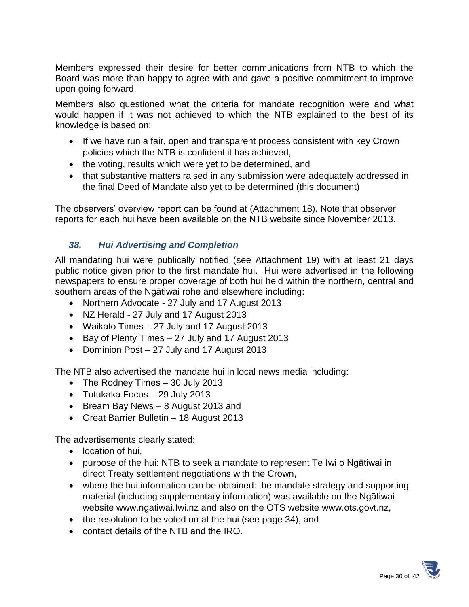Members expressed their desire for better communications from NTB to which the Board was more than happy to agree with and gave a positive commitment to improve upon going forward.

Members also questioned what the criteria for mandate recognition were and what would happen if it was not achieved to which the NTB explained to the best of its knowledge is based on:

- If we have run a fair, open and transparent process consistent with key Crown policies which the NTB is confident it has achieved,
- the voting, results which were yet to be determined, and
- that substantive matters raised in any submission were adequately addressed in the final Deed of Mandate also yet to be determined (this document)

The observers' overview report can be found at (Attachment 18). Note that observer reports for each hui have been available on the NTB website since November 2013.

# *38. Hui Advertising and Completion*

All mandating hui were publically notified (see Attachment 19) with at least 21 days public notice given prior to the first mandate hui. Hui were advertised in the following newspapers to ensure proper coverage of both hui held within the northern, central and southern areas of the Ngātiwai rohe and elsewhere including:

- Northern Advocate 27 July and 17 August 2013
- NZ Herald 27 July and 17 August 2013
- Waikato Times 27 July and 17 August 2013
- $\bullet$  Bay of Plenty Times 27 July and 17 August 2013
- Dominion Post 27 July and 17 August 2013

The NTB also advertised the mandate hui in local news media including:

- The Rodney Times 30 July 2013
- Tutukaka Focus 29 July 2013
- Bream Bay News 8 August 2013 and
- Great Barrier Bulletin 18 August 2013

The advertisements clearly stated:

- location of hui.
- purpose of the hui: NTB to seek a mandate to represent Te Iwi o Ngātiwai in direct Treaty settlement negotiations with the Crown,
- where the hui information can be obtained: the mandate strategy and supporting material (including supplementary information) was available on the Ngātiwai website [www.ngatiwai.Iwi.nz](http://www.nātiwai.iwi.nz/) and also on the OTS website [www.ots.govt.nz,](http://www.ots.govt.nz/)
- the resolution to be voted on at the hui (see page 34), and
- contact details of the NTB and the IRO.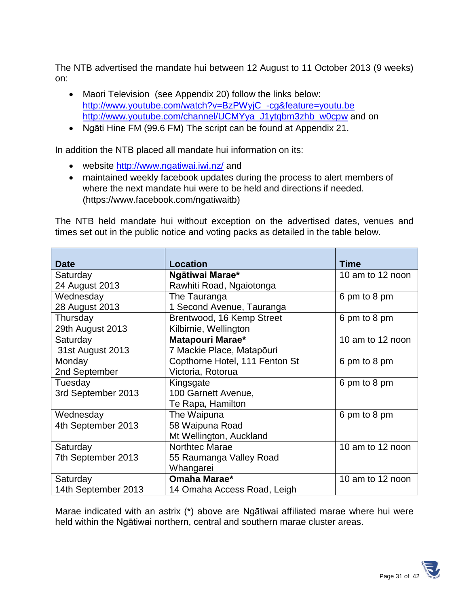The NTB advertised the mandate hui between 12 August to 11 October 2013 (9 weeks) on:

- Maori Television (see Appendix 20) follow the links below: [http://www.youtube.com/watch?v=BzPWyjC\\_-cg&feature=youtu.be](http://www.youtube.com/watch?v=BzPWyjC_-cg&feature=youtu.be) [http://www.youtube.com/channel/UCMYya\\_J1ytqbm3zhb\\_w0cpw](http://www.youtube.com/channel/UCMYya_J1ytqbm3zhb_w0cpw) and on
- Ngāti Hine FM (99.6 FM) The script can be found at Appendix 21.

In addition the NTB placed all mandate hui information on its:

- website<http://www.ngatiwai.iwi.nz/> and
- maintained weekly facebook updates during the process to alert members of where the next mandate hui were to be held and directions if needed. [\(https://www.facebook.com/ngatiwaitb\)](https://www.facebook.com/ngatiwaitb)

The NTB held mandate hui without exception on the advertised dates, venues and times set out in the public notice and voting packs as detailed in the table below.

| <b>Date</b>         | <b>Location</b>                | <b>Time</b>      |
|---------------------|--------------------------------|------------------|
| Saturday            | Ngātiwai Marae*                | 10 am to 12 noon |
| 24 August 2013      | Rawhiti Road, Ngaiotonga       |                  |
| Wednesday           | The Tauranga                   | 6 pm to 8 pm     |
| 28 August 2013      | 1 Second Avenue, Tauranga      |                  |
| Thursday            | Brentwood, 16 Kemp Street      | 6 pm to 8 pm     |
| 29th August 2013    | Kilbirnie, Wellington          |                  |
| Saturday            | Matapouri Marae*               | 10 am to 12 noon |
| 31st August 2013    | 7 Mackie Place, Matapōuri      |                  |
| Monday              | Copthorne Hotel, 111 Fenton St | 6 pm to 8 pm     |
| 2nd September       | Victoria, Rotorua              |                  |
| Tuesday             | Kingsgate                      | 6 pm to 8 pm     |
| 3rd September 2013  | 100 Garnett Avenue,            |                  |
|                     | Te Rapa, Hamilton              |                  |
| Wednesday           | The Waipuna                    | 6 pm to 8 pm     |
| 4th September 2013  | 58 Waipuna Road                |                  |
|                     | Mt Wellington, Auckland        |                  |
| Saturday            | Northtec Marae                 | 10 am to 12 noon |
| 7th September 2013  | 55 Raumanga Valley Road        |                  |
|                     | Whangarei                      |                  |
| Saturday            | Omaha Marae*                   | 10 am to 12 noon |
| 14th September 2013 | 14 Omaha Access Road, Leigh    |                  |

Marae indicated with an astrix (\*) above are Ngātiwai affiliated marae where hui were held within the Ngātiwai northern, central and southern marae cluster areas.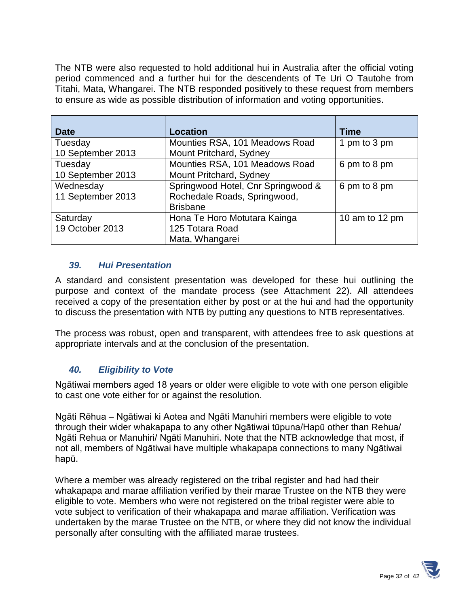The NTB were also requested to hold additional hui in Australia after the official voting period commenced and a further hui for the descendents of Te Uri O Tautohe from Titahi, Mata, Whangarei. The NTB responded positively to these request from members to ensure as wide as possible distribution of information and voting opportunities.

| <b>Date</b>                    | <b>Location</b>                                                                       | <b>Time</b>      |
|--------------------------------|---------------------------------------------------------------------------------------|------------------|
| Tuesday<br>10 September 2013   | Mounties RSA, 101 Meadows Road<br>Mount Pritchard, Sydney                             | 1 pm to 3 pm     |
| Tuesday<br>10 September 2013   | Mounties RSA, 101 Meadows Road<br>Mount Pritchard, Sydney                             | 6 pm to 8 pm     |
| Wednesday<br>11 September 2013 | Springwood Hotel, Cnr Springwood &<br>Rochedale Roads, Springwood,<br><b>Brisbane</b> | 6 pm to 8 pm     |
| Saturday<br>19 October 2013    | Hona Te Horo Motutara Kainga<br>125 Totara Road<br>Mata, Whangarei                    | 10 am to 12 $pm$ |

#### *39. Hui Presentation*

A standard and consistent presentation was developed for these hui outlining the purpose and context of the mandate process (see Attachment 22). All attendees received a copy of the presentation either by post or at the hui and had the opportunity to discuss the presentation with NTB by putting any questions to NTB representatives.

The process was robust, open and transparent, with attendees free to ask questions at appropriate intervals and at the conclusion of the presentation.

#### *40. Eligibility to Vote*

Ngātiwai members aged 18 years or older were eligible to vote with one person eligible to cast one vote either for or against the resolution.

Ngāti Rēhua – Ngātiwai ki Aotea and Ngāti Manuhiri members were eligible to vote through their wider whakapapa to any other Ngātiwai tūpuna/Hapū other than Rehua/ Ngāti Rehua or Manuhiri/ Ngāti Manuhiri. Note that the NTB acknowledge that most, if not all, members of Ngātiwai have multiple whakapapa connections to many Ngātiwai hapū.

Where a member was already registered on the tribal register and had had their whakapapa and marae affiliation verified by their marae Trustee on the NTB they were eligible to vote. Members who were not registered on the tribal register were able to vote subject to verification of their whakapapa and marae affiliation. Verification was undertaken by the marae Trustee on the NTB, or where they did not know the individual personally after consulting with the affiliated marae trustees.

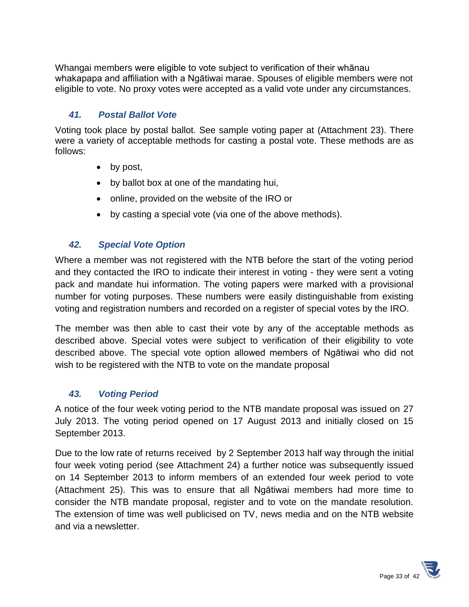Whangai members were eligible to vote subject to verification of their whānau whakapapa and affiliation with a Ngātiwai marae. Spouses of eligible members were not eligible to vote. No proxy votes were accepted as a valid vote under any circumstances.

## *41. Postal Ballot Vote*

Voting took place by postal ballot. See sample voting paper at (Attachment 23). There were a variety of acceptable methods for casting a postal vote. These methods are as follows:

- by post,
- by ballot box at one of the mandating hui,
- online, provided on the website of the IRO or
- by casting a special vote (via one of the above methods).

## *42. Special Vote Option*

Where a member was not registered with the NTB before the start of the voting period and they contacted the IRO to indicate their interest in voting - they were sent a voting pack and mandate hui information. The voting papers were marked with a provisional number for voting purposes. These numbers were easily distinguishable from existing voting and registration numbers and recorded on a register of special votes by the IRO.

The member was then able to cast their vote by any of the acceptable methods as described above. Special votes were subject to verification of their eligibility to vote described above. The special vote option allowed members of Ngātiwai who did not wish to be registered with the NTB to vote on the mandate proposal

#### *43. Voting Period*

A notice of the four week voting period to the NTB mandate proposal was issued on 27 July 2013. The voting period opened on 17 August 2013 and initially closed on 15 September 2013.

Due to the low rate of returns received by 2 September 2013 half way through the initial four week voting period (see Attachment 24) a further notice was subsequently issued on 14 September 2013 to inform members of an extended four week period to vote (Attachment 25). This was to ensure that all Ngātiwai members had more time to consider the NTB mandate proposal, register and to vote on the mandate resolution. The extension of time was well publicised on TV, news media and on the NTB website and via a newsletter.

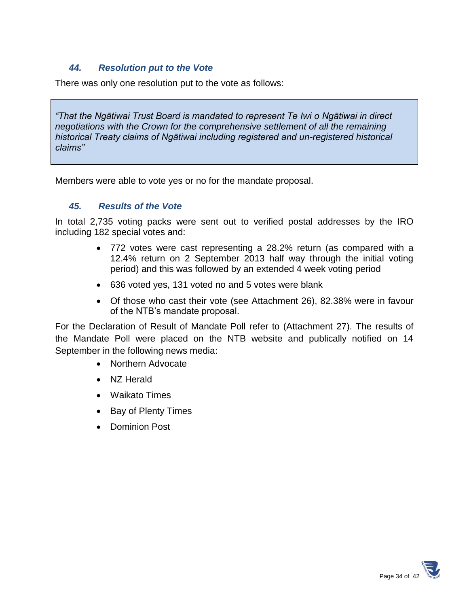#### *44. Resolution put to the Vote*

There was only one resolution put to the vote as follows:

*"That the Ngātiwai Trust Board is mandated to represent Te Iwi o Ngātiwai in direct negotiations with the Crown for the comprehensive settlement of all the remaining historical Treaty claims of Ngātiwai including registered and un-registered historical claims"*

Members were able to vote yes or no for the mandate proposal.

#### *45. Results of the Vote*

In total 2,735 voting packs were sent out to verified postal addresses by the IRO including 182 special votes and:

- 772 votes were cast representing a 28.2% return (as compared with a 12.4% return on 2 September 2013 half way through the initial voting period) and this was followed by an extended 4 week voting period
- 636 voted yes, 131 voted no and 5 votes were blank
- Of those who cast their vote (see Attachment 26), 82.38% were in favour of the NTB's mandate proposal.

For the Declaration of Result of Mandate Poll refer to (Attachment 27). The results of the Mandate Poll were placed on the NTB website and publically notified on 14 September in the following news media:

- Northern Advocate
- NZ Herald
- Waikato Times
- Bay of Plenty Times
- Dominion Post

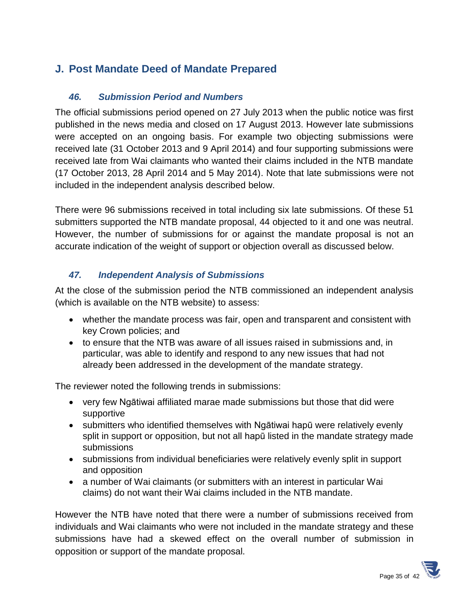# **J. Post Mandate Deed of Mandate Prepared**

## *46. Submission Period and Numbers*

The official submissions period opened on 27 July 2013 when the public notice was first published in the news media and closed on 17 August 2013. However late submissions were accepted on an ongoing basis. For example two objecting submissions were received late (31 October 2013 and 9 April 2014) and four supporting submissions were received late from Wai claimants who wanted their claims included in the NTB mandate (17 October 2013, 28 April 2014 and 5 May 2014). Note that late submissions were not included in the independent analysis described below.

There were 96 submissions received in total including six late submissions. Of these 51 submitters supported the NTB mandate proposal, 44 objected to it and one was neutral. However, the number of submissions for or against the mandate proposal is not an accurate indication of the weight of support or objection overall as discussed below.

## *47. Independent Analysis of Submissions*

At the close of the submission period the NTB commissioned an independent analysis (which is available on the NTB website) to assess:

- whether the mandate process was fair, open and transparent and consistent with key Crown policies; and
- to ensure that the NTB was aware of all issues raised in submissions and, in particular, was able to identify and respond to any new issues that had not already been addressed in the development of the mandate strategy.

The reviewer noted the following trends in submissions:

- very few Ngātiwai affiliated marae made submissions but those that did were supportive
- submitters who identified themselves with Ngātiwai hapū were relatively evenly split in support or opposition, but not all hapū listed in the mandate strategy made submissions
- submissions from individual beneficiaries were relatively evenly split in support and opposition
- a number of Wai claimants (or submitters with an interest in particular Wai claims) do not want their Wai claims included in the NTB mandate.

However the NTB have noted that there were a number of submissions received from individuals and Wai claimants who were not included in the mandate strategy and these submissions have had a skewed effect on the overall number of submission in opposition or support of the mandate proposal.

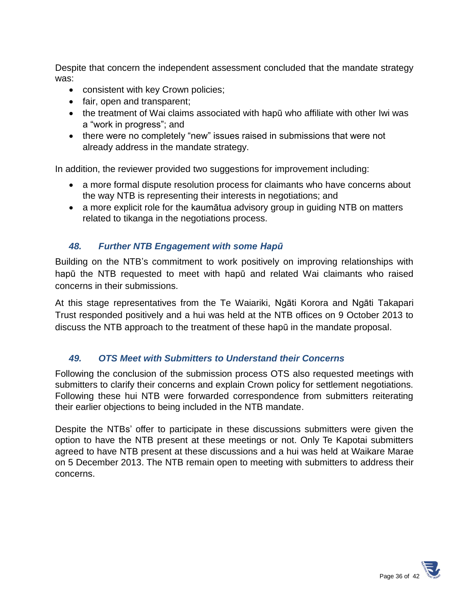Despite that concern the independent assessment concluded that the mandate strategy was:

- consistent with key Crown policies;
- fair, open and transparent;
- the treatment of Wai claims associated with hapū who affiliate with other Iwi was a "work in progress"; and
- there were no completely "new" issues raised in submissions that were not already address in the mandate strategy.

In addition, the reviewer provided two suggestions for improvement including:

- a more formal dispute resolution process for claimants who have concerns about the way NTB is representing their interests in negotiations; and
- a more explicit role for the kaumātua advisory group in guiding NTB on matters related to tikanga in the negotiations process.

#### *48. Further NTB Engagement with some Hapū*

Building on the NTB's commitment to work positively on improving relationships with hapū the NTB requested to meet with hapū and related Wai claimants who raised concerns in their submissions.

At this stage representatives from the Te Waiariki, Ngāti Korora and Ngāti Takapari Trust responded positively and a hui was held at the NTB offices on 9 October 2013 to discuss the NTB approach to the treatment of these hapū in the mandate proposal.

#### *49. OTS Meet with Submitters to Understand their Concerns*

Following the conclusion of the submission process OTS also requested meetings with submitters to clarify their concerns and explain Crown policy for settlement negotiations. Following these hui NTB were forwarded correspondence from submitters reiterating their earlier objections to being included in the NTB mandate.

Despite the NTBs' offer to participate in these discussions submitters were given the option to have the NTB present at these meetings or not. Only Te Kapotai submitters agreed to have NTB present at these discussions and a hui was held at Waikare Marae on 5 December 2013. The NTB remain open to meeting with submitters to address their concerns.

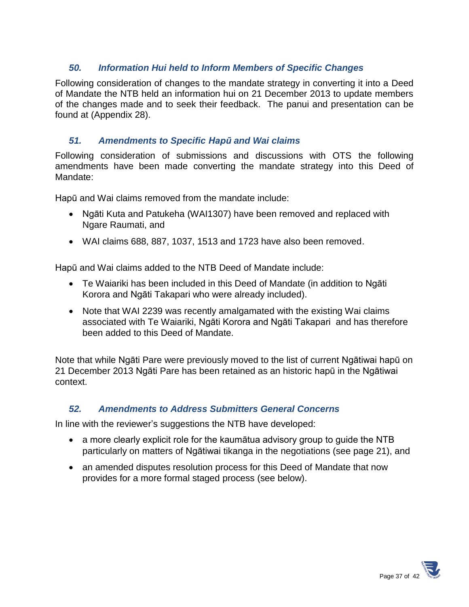#### *50. Information Hui held to Inform Members of Specific Changes*

Following consideration of changes to the mandate strategy in converting it into a Deed of Mandate the NTB held an information hui on 21 December 2013 to update members of the changes made and to seek their feedback. The panui and presentation can be found at (Appendix 28).

#### *51. Amendments to Specific Hapū and Wai claims*

Following consideration of submissions and discussions with OTS the following amendments have been made converting the mandate strategy into this Deed of Mandate:

Hapū and Wai claims removed from the mandate include:

- Ngāti Kuta and Patukeha (WAI1307) have been removed and replaced with Ngare Raumati, and
- WAI claims 688, 887, 1037, 1513 and 1723 have also been removed.

Hapū and Wai claims added to the NTB Deed of Mandate include:

- Te Waiariki has been included in this Deed of Mandate (in addition to Ngāti Korora and Ngāti Takapari who were already included).
- Note that WAI 2239 was recently amalgamated with the existing Wai claims associated with Te Waiariki, Ngāti Korora and Ngāti Takapari and has therefore been added to this Deed of Mandate.

Note that while Ngāti Pare were previously moved to the list of current Ngātiwai hapū on 21 December 2013 Ngāti Pare has been retained as an historic hapū in the Ngātiwai context.

#### *52. Amendments to Address Submitters General Concerns*

In line with the reviewer's suggestions the NTB have developed:

- a more clearly explicit role for the kaumātua advisory group to guide the NTB particularly on matters of Ngātiwai tikanga in the negotiations (see page 21), and
- an amended disputes resolution process for this Deed of Mandate that now provides for a more formal staged process (see below).

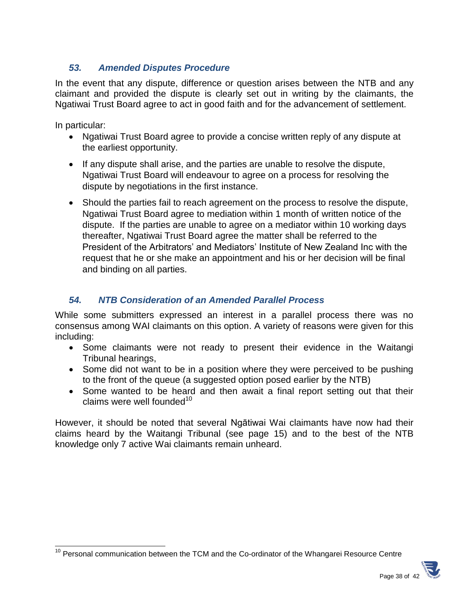## *53. Amended Disputes Procedure*

In the event that any dispute, difference or question arises between the NTB and any claimant and provided the dispute is clearly set out in writing by the claimants, the Ngatiwai Trust Board agree to act in good faith and for the advancement of settlement.

In particular:

- Ngatiwai Trust Board agree to provide a concise written reply of any dispute at the earliest opportunity.
- If any dispute shall arise, and the parties are unable to resolve the dispute, Ngatiwai Trust Board will endeavour to agree on a process for resolving the dispute by negotiations in the first instance.
- Should the parties fail to reach agreement on the process to resolve the dispute, Ngatiwai Trust Board agree to mediation within 1 month of written notice of the dispute. If the parties are unable to agree on a mediator within 10 working days thereafter, Ngatiwai Trust Board agree the matter shall be referred to the President of the Arbitrators' and Mediators' Institute of New Zealand Inc with the request that he or she make an appointment and his or her decision will be final and binding on all parties.

# *54. NTB Consideration of an Amended Parallel Process*

While some submitters expressed an interest in a parallel process there was no consensus among WAI claimants on this option. A variety of reasons were given for this including:

- Some claimants were not ready to present their evidence in the Waitangi Tribunal hearings,
- Some did not want to be in a position where they were perceived to be pushing to the front of the queue (a suggested option posed earlier by the NTB)
- Some wanted to be heard and then await a final report setting out that their claims were well founded $10<sup>10</sup>$

However, it should be noted that several Ngātiwai Wai claimants have now had their claims heard by the Waitangi Tribunal (see page 15) and to the best of the NTB knowledge only 7 active Wai claimants remain unheard.

l  $10$  Personal communication between the TCM and the Co-ordinator of the Whangarei Resource Centre

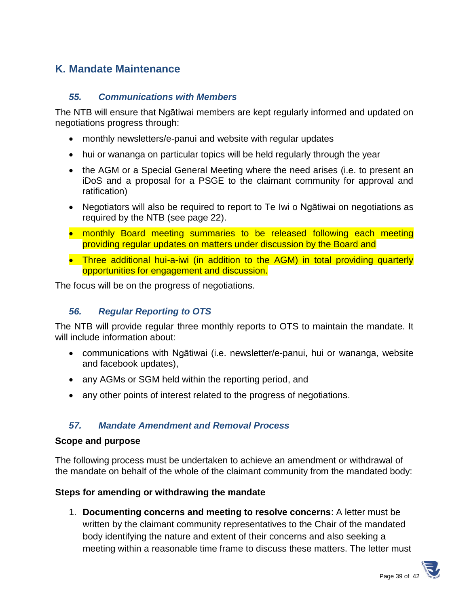# **K. Mandate Maintenance**

#### *55. Communications with Members*

The NTB will ensure that Ngātiwai members are kept regularly informed and updated on negotiations progress through:

- monthly newsletters/e-panui and website with regular updates
- hui or wananga on particular topics will be held regularly through the year
- the AGM or a Special General Meeting where the need arises (i.e. to present an iDoS and a proposal for a PSGE to the claimant community for approval and ratification)
- Negotiators will also be required to report to Te Iwi o Ngātiwai on negotiations as required by the NTB (see page 22).
- monthly Board meeting summaries to be released following each meeting providing regular updates on matters under discussion by the Board and
- Three additional hui-a-iwi (in addition to the AGM) in total providing quarterly opportunities for engagement and discussion.

The focus will be on the progress of negotiations.

## *56. Regular Reporting to OTS*

The NTB will provide regular three monthly reports to OTS to maintain the mandate. It will include information about:

- communications with Ngātiwai (i.e. newsletter/e-panui, hui or wananga, website and facebook updates),
- any AGMs or SGM held within the reporting period, and
- any other points of interest related to the progress of negotiations.

## *57. Mandate Amendment and Removal Process*

#### **Scope and purpose**

The following process must be undertaken to achieve an amendment or withdrawal of the mandate on behalf of the whole of the claimant community from the mandated body:

#### **Steps for amending or withdrawing the mandate**

1. **Documenting concerns and meeting to resolve concerns**: A letter must be written by the claimant community representatives to the Chair of the mandated body identifying the nature and extent of their concerns and also seeking a meeting within a reasonable time frame to discuss these matters. The letter must

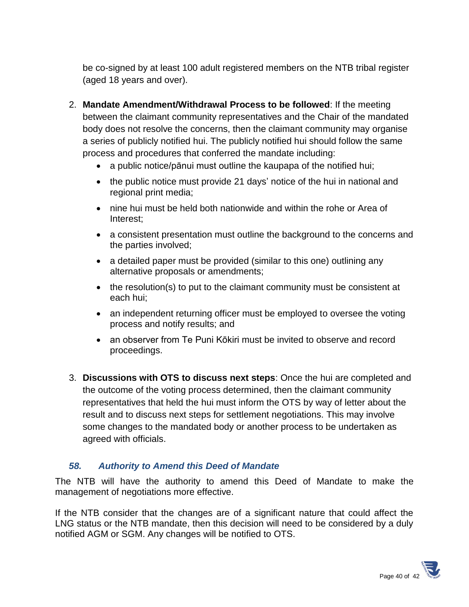be co-signed by at least 100 adult registered members on the NTB tribal register (aged 18 years and over).

- 2. **Mandate Amendment/Withdrawal Process to be followed**: If the meeting between the claimant community representatives and the Chair of the mandated body does not resolve the concerns, then the claimant community may organise a series of publicly notified hui. The publicly notified hui should follow the same process and procedures that conferred the mandate including:
	- a public notice/pānui must outline the kaupapa of the notified hui;
	- the public notice must provide 21 days' notice of the hui in national and regional print media;
	- nine hui must be held both nationwide and within the rohe or Area of Interest;
	- a consistent presentation must outline the background to the concerns and the parties involved;
	- a detailed paper must be provided (similar to this one) outlining any alternative proposals or amendments;
	- the resolution(s) to put to the claimant community must be consistent at each hui;
	- an independent returning officer must be employed to oversee the voting process and notify results; and
	- an observer from Te Puni Kōkiri must be invited to observe and record proceedings.
- 3. **Discussions with OTS to discuss next steps**: Once the hui are completed and the outcome of the voting process determined, then the claimant community representatives that held the hui must inform the OTS by way of letter about the result and to discuss next steps for settlement negotiations. This may involve some changes to the mandated body or another process to be undertaken as agreed with officials.

#### *58. Authority to Amend this Deed of Mandate*

The NTB will have the authority to amend this Deed of Mandate to make the management of negotiations more effective.

If the NTB consider that the changes are of a significant nature that could affect the LNG status or the NTB mandate, then this decision will need to be considered by a duly notified AGM or SGM. Any changes will be notified to OTS.

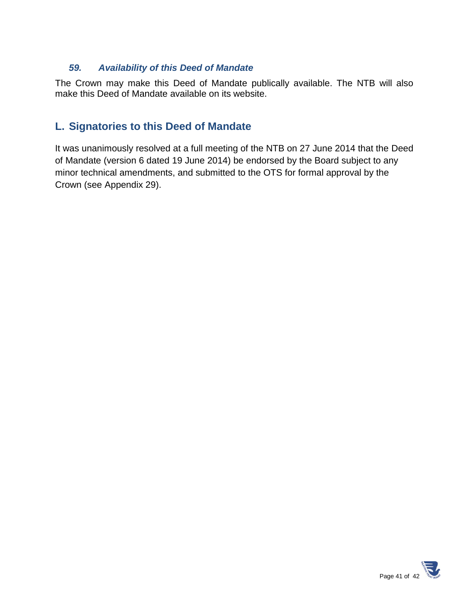#### *59. Availability of this Deed of Mandate*

The Crown may make this Deed of Mandate publically available. The NTB will also make this Deed of Mandate available on its website.

# **L. Signatories to this Deed of Mandate**

It was unanimously resolved at a full meeting of the NTB on 27 June 2014 that the Deed of Mandate (version 6 dated 19 June 2014) be endorsed by the Board subject to any minor technical amendments, and submitted to the OTS for formal approval by the Crown (see Appendix 29).